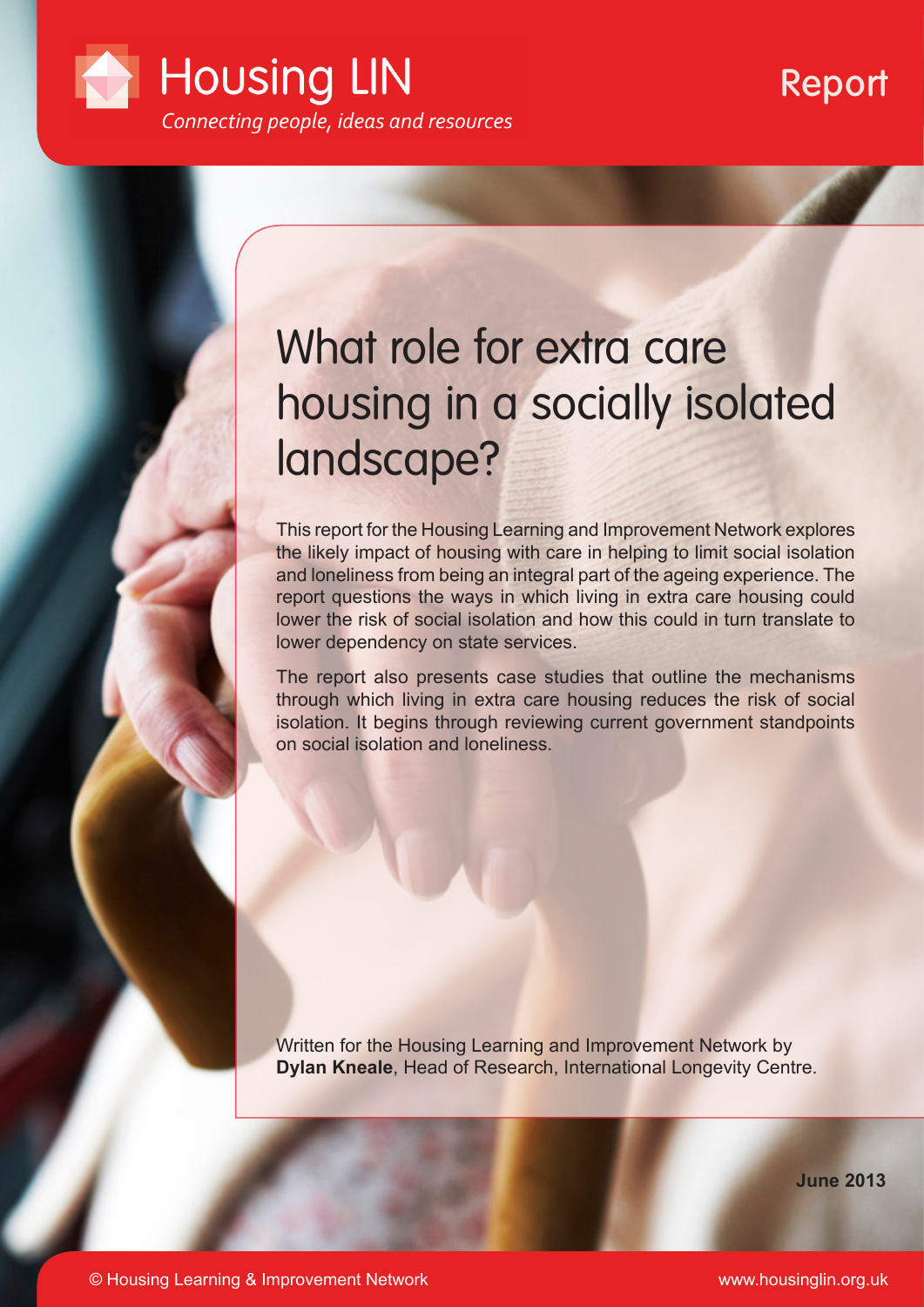

# Report

# What role for extra care housing in a socially isolated landscape?

This report for the Housing Learning and Improvement Network explores the likely impact of housing with care in helping to limit social isolation and loneliness from being an integral part of the ageing experience. The report questions the ways in which living in extra care housing could lower the risk of social isolation and how this could in turn translate to lower dependency on state services.

The report also presents case studies that outline the mechanisms through which living in extra care housing reduces the risk of social isolation. It begins through reviewing current government standpoints on social isolation and loneliness.

Written for the Housing Learning and Improvement Network by **Dylan Kneale**, Head of Research, International Longevity Centre.

**June 2013**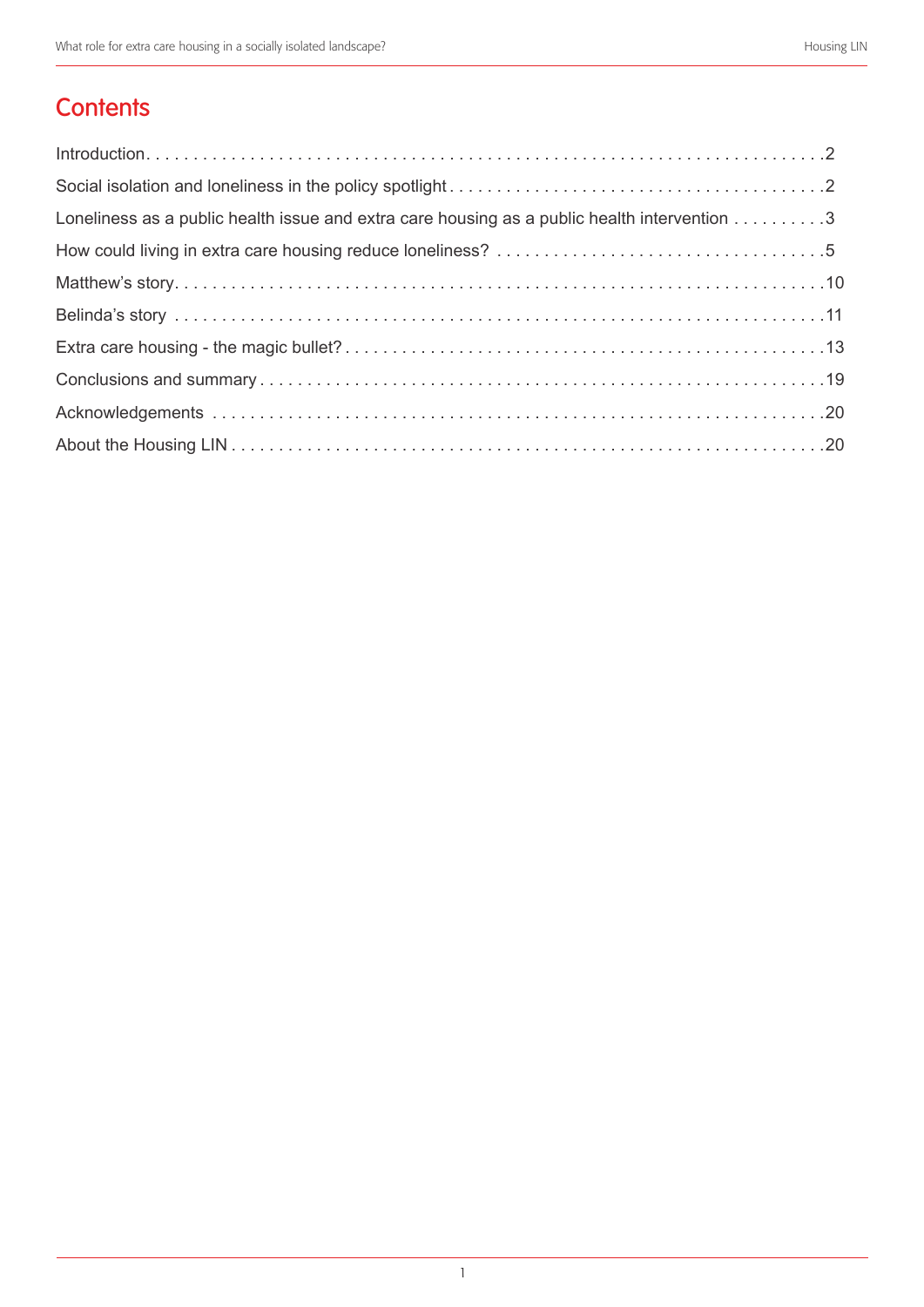# **Contents**

| Loneliness as a public health issue and extra care housing as a public health intervention 3 |
|----------------------------------------------------------------------------------------------|
|                                                                                              |
|                                                                                              |
|                                                                                              |
|                                                                                              |
|                                                                                              |
|                                                                                              |
|                                                                                              |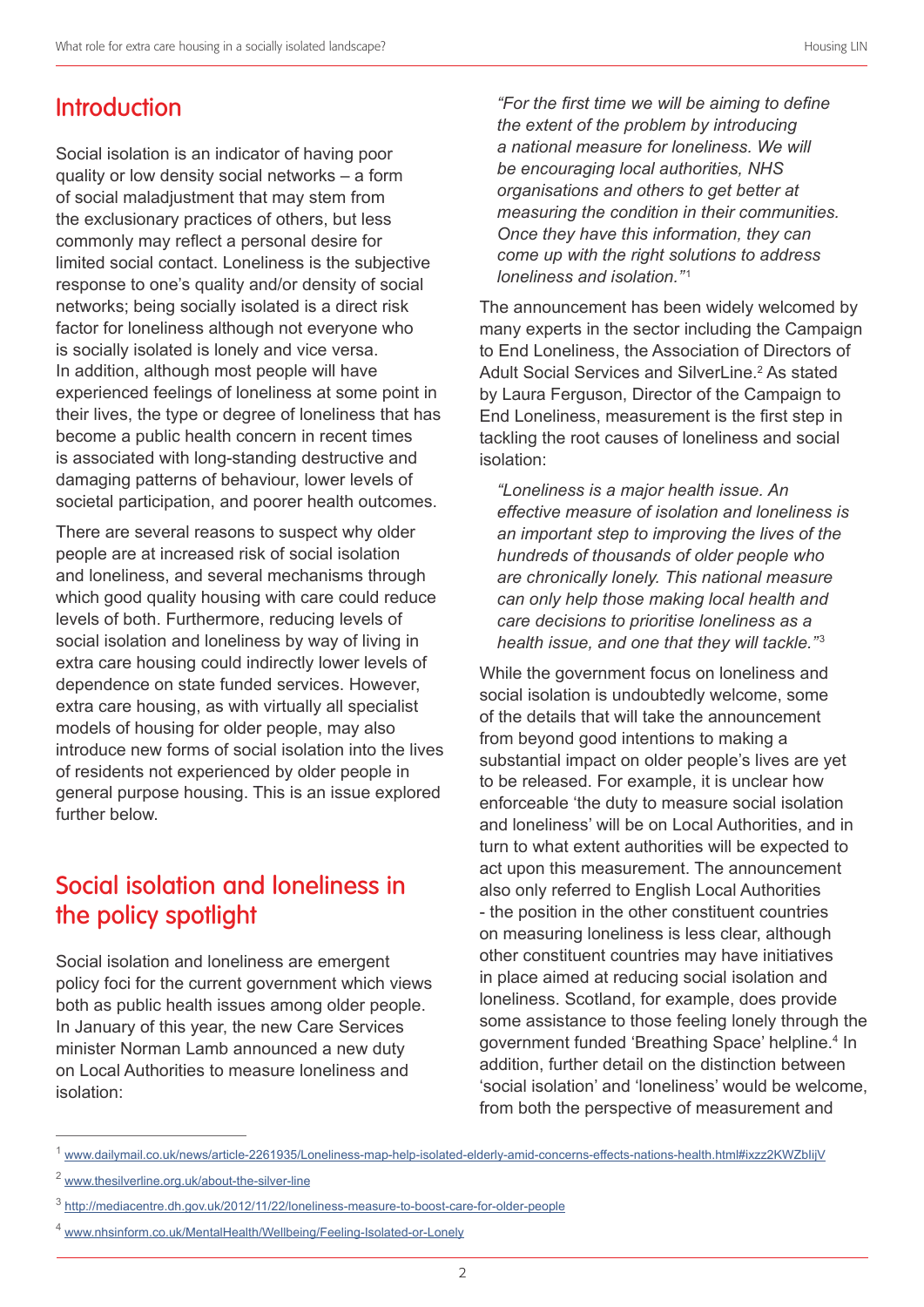# **Introduction**

Social isolation is an indicator of having poor quality or low density social networks – a form of social maladjustment that may stem from the exclusionary practices of others, but less commonly may reflect a personal desire for limited social contact. Loneliness is the subjective response to one's quality and/or density of social networks; being socially isolated is a direct risk factor for loneliness although not everyone who is socially isolated is lonely and vice versa. In addition, although most people will have experienced feelings of loneliness at some point in their lives, the type or degree of loneliness that has become a public health concern in recent times is associated with long-standing destructive and damaging patterns of behaviour, lower levels of societal participation, and poorer health outcomes.

There are several reasons to suspect why older people are at increased risk of social isolation and loneliness, and several mechanisms through which good quality housing with care could reduce levels of both. Furthermore, reducing levels of social isolation and loneliness by way of living in extra care housing could indirectly lower levels of dependence on state funded services. However, extra care housing, as with virtually all specialist models of housing for older people, may also introduce new forms of social isolation into the lives of residents not experienced by older people in general purpose housing. This is an issue explored further below.

# Social isolation and loneliness in the policy spotlight

Social isolation and loneliness are emergent policy foci for the current government which views both as public health issues among older people. In January of this year, the new Care Services minister Norman Lamb announced a new duty on Local Authorities to measure loneliness and isolation:

*"For the first time we will be aiming to define the extent of the problem by introducing a national measure for loneliness. We will be encouraging local authorities, NHS organisations and others to get better at measuring the condition in their communities. Once they have this information, they can come up with the right solutions to address loneliness and isolation.*"<sup>1</sup>

The announcement has been widely welcomed by many experts in the sector including the Campaign to End Loneliness, the Association of Directors of Adult Social Services and SilverLine.<sup>2</sup> As stated by Laura Ferguson, Director of the Campaign to End Loneliness, measurement is the first step in tackling the root causes of loneliness and social isolation:

*"Loneliness is a major health issue. An effective measure of isolation and loneliness is an important step to improving the lives of the hundreds of thousands of older people who are chronically lonely. This national measure can only help those making local health and care decisions to prioritise loneliness as a health issue, and one that they will tackle.*"<sup>3</sup>

While the government focus on loneliness and social isolation is undoubtedly welcome, some of the details that will take the announcement from beyond good intentions to making a substantial impact on older people's lives are yet to be released. For example, it is unclear how enforceable 'the duty to measure social isolation and loneliness' will be on Local Authorities, and in turn to what extent authorities will be expected to act upon this measurement. The announcement also only referred to English Local Authorities - the position in the other constituent countries on measuring loneliness is less clear, although other constituent countries may have initiatives in place aimed at reducing social isolation and loneliness. Scotland, for example, does provide some assistance to those feeling lonely through the government funded 'Breathing Space' helpline. 4 In addition, further detail on the distinction between 'social isolation' and 'loneliness' would be welcome, from both the perspective of measurement and

<sup>1</sup> www.dailymail.co.uk/news/article-2261935/Loneliness-map-help-isolated-elderly-amid-concerns-effects-nations-health.html#ixzz2KWZbIijV

<sup>2</sup> www.thesilverline.org.uk/about-the-silver-line

<sup>3</sup> http://mediacentre.dh.gov.uk/2012/11/22/loneliness-measure-to-boost-care-for-older-people

www.nhsinform.co.uk/MentalHealth/Wellbeing/Feeling-Isolated-or-Lonely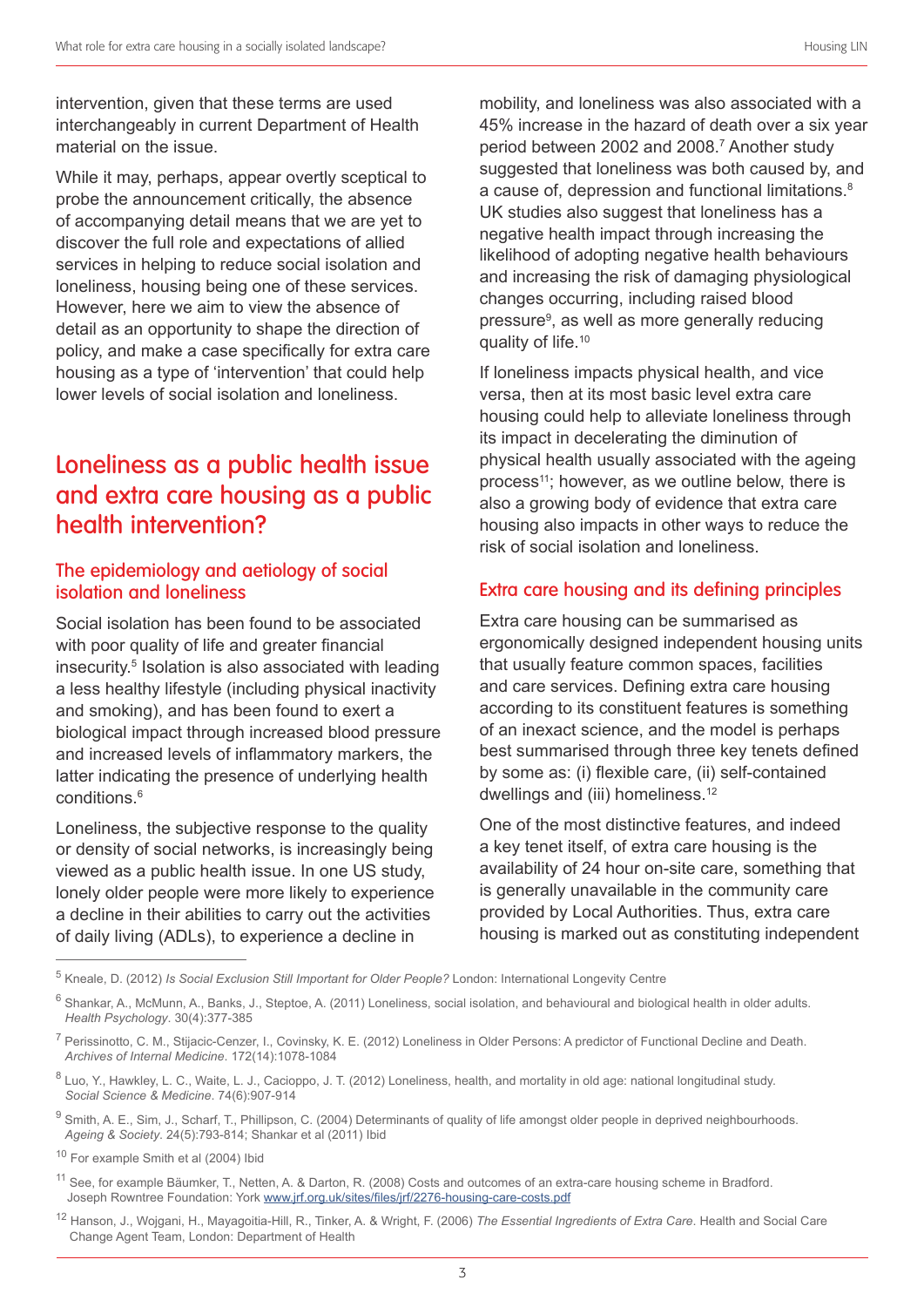intervention, given that these terms are used interchangeably in current Department of Health material on the issue.

While it may, perhaps, appear overtly sceptical to probe the announcement critically, the absence of accompanying detail means that we are yet to discover the full role and expectations of allied services in helping to reduce social isolation and loneliness, housing being one of these services. However, here we aim to view the absence of detail as an opportunity to shape the direction of policy, and make a case specifically for extra care housing as a type of 'intervention' that could help lower levels of social isolation and loneliness.

# Loneliness as a public health issue and extra care housing as a public health intervention?

#### The epidemiology and aetiology of social isolation and loneliness

Social isolation has been found to be associated with poor quality of life and greater financial insecurity. 5 Isolation is also associated with leading a less healthy lifestyle (including physical inactivity and smoking), and has been found to exert a biological impact through increased blood pressure and increased levels of inflammatory markers, the latter indicating the presence of underlying health conditions. 6

Loneliness, the subjective response to the quality or density of social networks, is increasingly being viewed as a public health issue. In one US study, lonely older people were more likely to experience a decline in their abilities to carry out the activities of daily living (ADLs), to experience a decline in

mobility, and loneliness was also associated with a 45% increase in the hazard of death over a six year period between 2002 and 2008. 7 Another study suggested that loneliness was both caused by, and a cause of, depression and functional limitations.<sup>8</sup> UK studies also suggest that loneliness has a negative health impact through increasing the likelihood of adopting negative health behaviours and increasing the risk of damaging physiological changes occurring, including raised blood pressure<sup>9</sup>, as well as more generally reducing quality of life.<sup>10</sup>

If loneliness impacts physical health, and vice versa, then at its most basic level extra care housing could help to alleviate loneliness through its impact in decelerating the diminution of physical health usually associated with the ageing process<sup>11</sup>; however, as we outline below, there is also a growing body of evidence that extra care housing also impacts in other ways to reduce the risk of social isolation and loneliness.

#### Extra care housing and its defining principles

Extra care housing can be summarised as ergonomically designed independent housing units that usually feature common spaces, facilities and care services. Defining extra care housing according to its constituent features is something of an inexact science, and the model is perhaps best summarised through three key tenets defined by some as: (i) flexible care, (ii) self-contained dwellings and (iii) homeliness. 12

One of the most distinctive features, and indeed a key tenet itself, of extra care housing is the availability of 24 hour on-site care, something that is generally unavailable in the community care provided by Local Authorities. Thus, extra care housing is marked out as constituting independent

12 Hanson, J., Wojgani, H., Mayagoitia-Hill, R., Tinker, A. & Wright, F. (2006) *The Essential Ingredients of Extra Care*. Health and Social Care Change Agent Team, London: Department of Health

<sup>5</sup> Kneale, D. (2012) *Is Social Exclusion Still Important for Older People?* London: International Longevity Centre

<sup>&</sup>lt;sup>6</sup> Shankar, A., McMunn, A., Banks, J., Steptoe, A. (2011) Loneliness, social isolation, and behavioural and biological health in older adults. *Health Psychology*. 30(4):377-385

<sup>&</sup>lt;sup>7</sup> Perissinotto, C. M., Stijacic-Cenzer, I., Covinsky, K. E. (2012) Loneliness in Older Persons: A predictor of Functional Decline and Death. *Archives of Internal Medicine*. 172(14):1078-1084

<sup>&</sup>lt;sup>8</sup> Luo, Y., Hawkley, L. C., Waite, L. J., Cacioppo, J. T. (2012) Loneliness, health, and mortality in old age: national longitudinal study. *Social Science & Medicine*. 74(6):907-914

<sup>&</sup>lt;sup>9</sup> Smith, A. E., Sim, J., Scharf, T., Phillipson, C. (2004) Determinants of quality of life amongst older people in deprived neighbourhoods. *Ageing & Society*. 24(5):793-814; Shankar et al (2011) Ibid

<sup>10</sup> For example Smith et al (2004) Ibid

<sup>&</sup>lt;sup>11</sup> See, for example Bäumker, T., Netten, A. & Darton, R. (2008) Costs and outcomes of an extra-care housing scheme in Bradford. Joseph Rowntree Foundation: York www.jrf.org.uk/sites/files/jrf/2276-housing-care-costs.pdf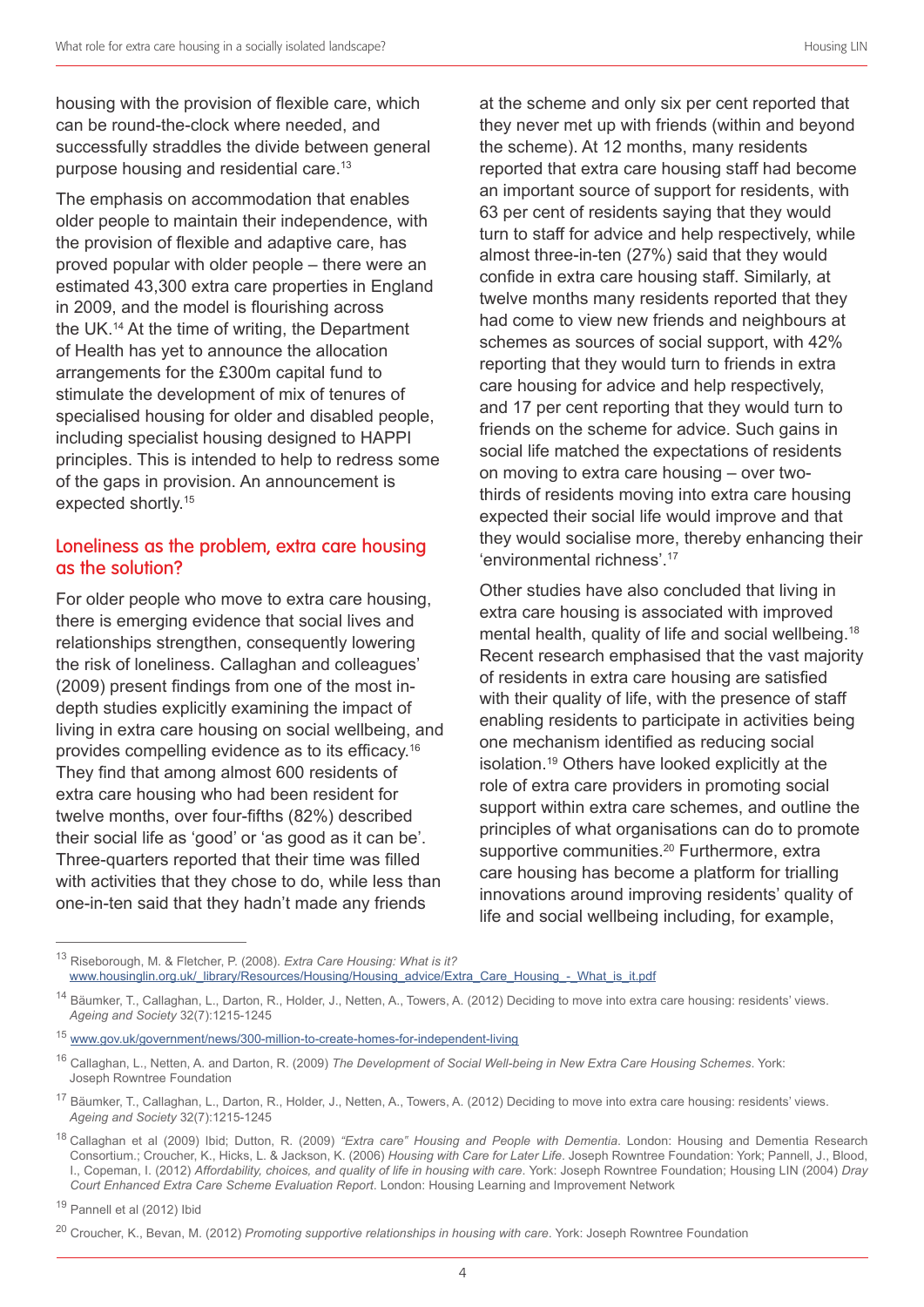housing with the provision of flexible care, which can be round-the-clock where needed, and successfully straddles the divide between general purpose housing and residential care. 13

The emphasis on accommodation that enables older people to maintain their independence, with the provision of flexible and adaptive care, has proved popular with older people – there were an estimated 43,300 extra care properties in England in 2009, and the model is flourishing across the UK. 14 At the time of writing, the Department of Health has yet to announce the allocation arrangements for the £300m capital fund to stimulate the development of mix of tenures of specialised housing for older and disabled people, including specialist housing designed to HAPPI principles. This is intended to help to redress some of the gaps in provision. An announcement is expected shortly. 15

#### Loneliness as the problem, extra care housing as the solution?

For older people who move to extra care housing, there is emerging evidence that social lives and relationships strengthen, consequently lowering the risk of loneliness. Callaghan and colleagues' (2009) present findings from one of the most indepth studies explicitly examining the impact of living in extra care housing on social wellbeing, and provides compelling evidence as to its efficacy.<sup>16</sup> They find that among almost 600 residents of extra care housing who had been resident for twelve months, over four-fifths (82%) described their social life as 'good' or 'as good as it can be'. Three-quarters reported that their time was filled with activities that they chose to do, while less than one-in-ten said that they hadn't made any friends

at the scheme and only six per cent reported that they never met up with friends (within and beyond the scheme). At 12 months, many residents reported that extra care housing staff had become an important source of support for residents, with 63 per cent of residents saying that they would turn to staff for advice and help respectively, while almost three-in-ten (27%) said that they would confide in extra care housing staff. Similarly, at twelve months many residents reported that they had come to view new friends and neighbours at schemes as sources of social support, with 42% reporting that they would turn to friends in extra care housing for advice and help respectively, and 17 per cent reporting that they would turn to friends on the scheme for advice. Such gains in social life matched the expectations of residents on moving to extra care housing – over twothirds of residents moving into extra care housing expected their social life would improve and that they would socialise more, thereby enhancing their 'environmental richness'. 17

Other studies have also concluded that living in extra care housing is associated with improved mental health, quality of life and social wellbeing. 18 Recent research emphasised that the vast majority of residents in extra care housing are satisfied with their quality of life, with the presence of staff enabling residents to participate in activities being one mechanism identified as reducing social isolation. 19 Others have looked explicitly at the role of extra care providers in promoting social support within extra care schemes, and outline the principles of what organisations can do to promote supportive communities.<sup>20</sup> Furthermore, extra care housing has become a platform for trialling innovations around improving residents' quality of life and social wellbeing including, for example,

<sup>13</sup> Riseborough, M. & Fletcher, P. (2008). *Extra Care Housing: What is it?* www.housinglin.org.uk/\_library/Resources/Housing/Housing\_advice/Extra\_Care\_Housing\_-\_What\_is\_it.pdf

<sup>&</sup>lt;sup>14</sup> Bäumker, T., Callaghan, L., Darton, R., Holder, J., Netten, A., Towers, A. (2012) Deciding to move into extra care housing: residents' views. *Ageing and Society* 32(7):1215-1245

<sup>15</sup> www.gov.uk/government/news/300-million-to-create-homes-for-independent-living

<sup>16</sup> Callaghan, L., Netten, A. and Darton, R. (2009) *The Development of Social Well-being in New Extra Care Housing Schemes*. York: Joseph Rowntree Foundation

<sup>17</sup> Bäumker, T., Callaghan, L., Darton, R., Holder, J., Netten, A., Towers, A. (2012) Deciding to move into extra care housing: residents' views. *Ageing and Society* 32(7):1215-1245

<sup>18</sup> Callaghan et al (2009) Ibid; Dutton, R. (2009) *"Extra care" Housing and People with Dementia*. London: Housing and Dementia Research Consortium.; Croucher, K., Hicks, L. & Jackson, K. (2006) *Housing with Care for Later Life*. Joseph Rowntree Foundation: York; Pannell, J., Blood, I., Copeman, I. (2012) *Affordability, choices, and quality of life in housing with care*. York: Joseph Rowntree Foundation; Housing LIN (2004) *Dray Court Enhanced Extra Care Scheme Evaluation Report*. London: Housing Learning and Improvement Network

<sup>19</sup> Pannell et al (2012) Ibid

<sup>20</sup> Croucher, K., Bevan, M. (2012) *Promoting supportive relationships in housing with care*. York: Joseph Rowntree Foundation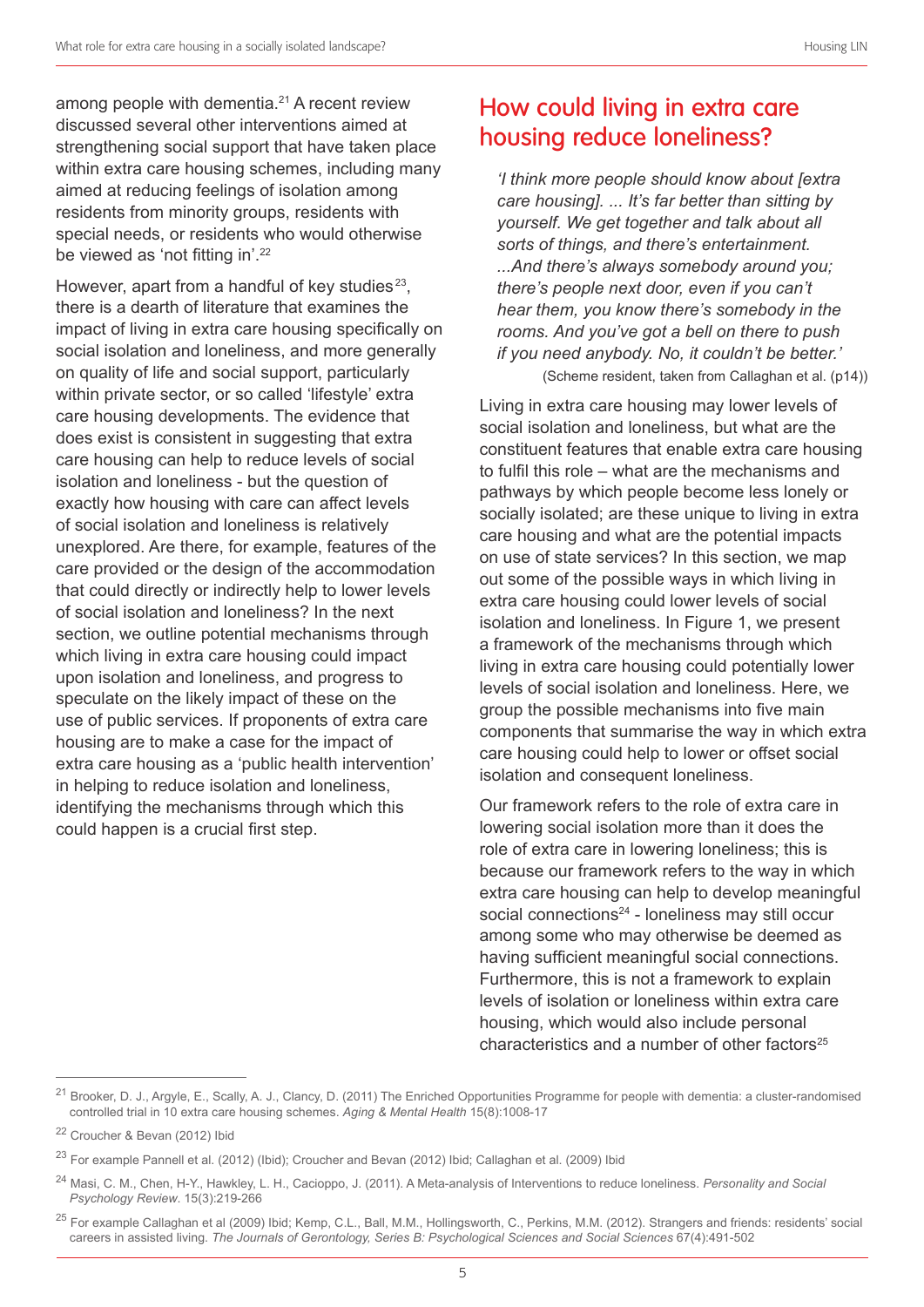among people with dementia. 21 A recent review discussed several other interventions aimed at strengthening social support that have taken place within extra care housing schemes, including many aimed at reducing feelings of isolation among residents from minority groups, residents with special needs, or residents who would otherwise be viewed as 'not fitting in'.<sup>22</sup>

However, apart from a handful of key studies<sup>23</sup>. there is a dearth of literature that examines the impact of living in extra care housing specifically on social isolation and loneliness, and more generally on quality of life and social support, particularly within private sector, or so called 'lifestyle' extra care housing developments. The evidence that does exist is consistent in suggesting that extra care housing can help to reduce levels of social isolation and loneliness - but the question of exactly how housing with care can affect levels of social isolation and loneliness is relatively unexplored. Are there, for example, features of the care provided or the design of the accommodation that could directly or indirectly help to lower levels of social isolation and loneliness? In the next section, we outline potential mechanisms through which living in extra care housing could impact upon isolation and loneliness, and progress to speculate on the likely impact of these on the use of public services. If proponents of extra care housing are to make a case for the impact of extra care housing as a 'public health intervention' in helping to reduce isolation and loneliness, identifying the mechanisms through which this could happen is a crucial first step.

### How could living in extra care housing reduce loneliness?

*'I think more people should know about [extra care housing]. ... It's far better than sitting by yourself. We get together and talk about all sorts of things, and there's entertainment. ...And there's always somebody around you; there's people next door, even if you can't hear them, you know there's somebody in the rooms. And you've got a bell on there to push if you need anybody. No, it couldn't be better.'* (Scheme resident, taken from Callaghan et al. (p14))

Living in extra care housing may lower levels of social isolation and loneliness, but what are the constituent features that enable extra care housing to fulfil this role – what are the mechanisms and pathways by which people become less lonely or socially isolated; are these unique to living in extra care housing and what are the potential impacts on use of state services? In this section, we map out some of the possible ways in which living in extra care housing could lower levels of social isolation and loneliness. In Figure 1, we present a framework of the mechanisms through which living in extra care housing could potentially lower levels of social isolation and loneliness. Here, we group the possible mechanisms into five main components that summarise the way in which extra care housing could help to lower or offset social isolation and consequent loneliness.

Our framework refers to the role of extra care in lowering social isolation more than it does the role of extra care in lowering loneliness; this is because our framework refers to the way in which extra care housing can help to develop meaningful social connections<sup>24</sup> - loneliness may still occur among some who may otherwise be deemed as having sufficient meaningful social connections. Furthermore, this is not a framework to explain levels of isolation or loneliness within extra care housing, which would also include personal characteristics and a number of other factors $25$ 

<sup>&</sup>lt;sup>21</sup> Brooker, D. J., Argyle, E., Scally, A. J., Clancy, D. (2011) The Enriched Opportunities Programme for people with dementia: a cluster-randomised controlled trial in 10 extra care housing schemes. *Aging & Mental Health* 15(8):1008-17

<sup>22</sup> Croucher & Bevan (2012) Ibid

<sup>&</sup>lt;sup>23</sup> For example Pannell et al. (2012) (Ibid); Croucher and Bevan (2012) Ibid; Callaghan et al. (2009) Ibid

<sup>24</sup> Masi, C. M., Chen, H-Y., Hawkley, L. H., Cacioppo, J. (2011). A Meta-analysis of Interventions to reduce loneliness. *Personality and Social Psychology Review*. 15(3):219-266

<sup>&</sup>lt;sup>25</sup> For example Callaghan et al (2009) Ibid; Kemp, C.L., Ball, M.M., Hollingsworth, C., Perkins, M.M. (2012). Strangers and friends: residents' social careers in assisted living. *The Journals of Gerontology, Series B: Psychological Sciences and Social Sciences* 67(4):491-502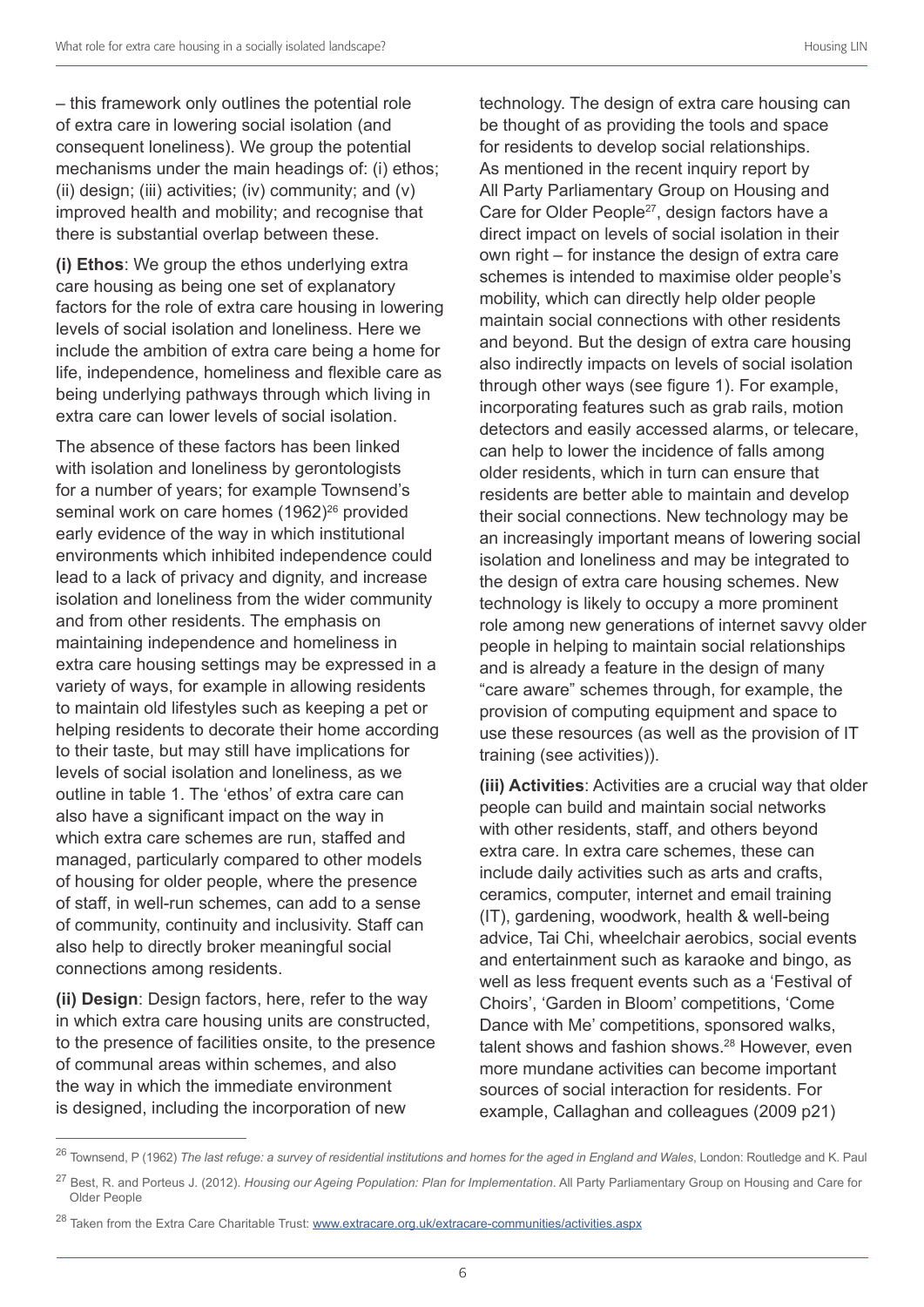– this framework only outlines the potential role of extra care in lowering social isolation (and consequent loneliness). We group the potential mechanisms under the main headings of: (i) ethos; (ii) design; (iii) activities; (iv) community; and  $(v)$ improved health and mobility; and recognise that there is substantial overlap between these.

**(i) Ethos**: We group the ethos underlying extra care housing as being one set of explanatory factors for the role of extra care housing in lowering levels of social isolation and loneliness. Here we include the ambition of extra care being a home for life, independence, homeliness and flexible care as being underlying pathways through which living in extra care can lower levels of social isolation.

The absence of these factors has been linked with isolation and loneliness by gerontologists for a number of years; for example Townsend's seminal work on care homes (1962)<sup>26</sup> provided early evidence of the way in which institutional environments which inhibited independence could lead to a lack of privacy and dignity, and increase isolation and loneliness from the wider community and from other residents. The emphasis on maintaining independence and homeliness in extra care housing settings may be expressed in a variety of ways, for example in allowing residents to maintain old lifestyles such as keeping a pet or helping residents to decorate their home according to their taste, but may still have implications for levels of social isolation and loneliness, as we outline in table 1. The 'ethos' of extra care can also have a significant impact on the way in which extra care schemes are run, staffed and managed, particularly compared to other models of housing for older people, where the presence of staff, in well-run schemes, can add to a sense of community, continuity and inclusivity. Staff can also help to directly broker meaningful social connections among residents.

**(ii) Design**: Design factors, here, refer to the way in which extra care housing units are constructed, to the presence of facilities onsite, to the presence of communal areas within schemes, and also the way in which the immediate environment is designed, including the incorporation of new

technology. The design of extra care housing can be thought of as providing the tools and space for residents to develop social relationships. As mentioned in the recent inquiry report by All Party Parliamentary Group on Housing and Care for Older People<sup>27</sup>, design factors have a direct impact on levels of social isolation in their own right – for instance the design of extra care schemes is intended to maximise older people's mobility, which can directly help older people maintain social connections with other residents and beyond. But the design of extra care housing also indirectly impacts on levels of social isolation through other ways (see figure 1). For example, incorporating features such as grab rails, motion detectors and easily accessed alarms, or telecare, can help to lower the incidence of falls among older residents, which in turn can ensure that residents are better able to maintain and develop their social connections. New technology may be an increasingly important means of lowering social isolation and loneliness and may be integrated to the design of extra care housing schemes. New technology is likely to occupy a more prominent role among new generations of internet savvy older people in helping to maintain social relationships and is already a feature in the design of many "care aware" schemes through, for example, the provision of computing equipment and space to use these resources (as well as the provision of IT training (see activities)).

**(iii) Activities**: Activities are a crucial way that older people can build and maintain social networks with other residents, staff, and others beyond extra care. In extra care schemes, these can include daily activities such as arts and crafts, ceramics, computer, internet and email training (IT), gardening, woodwork, health & well-being advice, Tai Chi, wheelchair aerobics, social events and entertainment such as karaoke and bingo, as well as less frequent events such as a 'Festival of Choirs', 'Garden in Bloom' competitions, 'Come Dance with Me' competitions, sponsored walks, talent shows and fashion shows. 28 However, even more mundane activities can become important sources of social interaction for residents. For example, Callaghan and colleagues (2009 p21)

<sup>26</sup> Townsend, P (1962) *The last refuge: a survey of residential institutions and homes for the aged in England and Wales*, London: Routledge and K. Paul

<sup>27</sup> Best, R. and Porteus J. (2012). *Housing our Ageing Population: Plan for Implementation*. All Party Parliamentary Group on Housing and Care for Older People

<sup>&</sup>lt;sup>28</sup> Taken from the Extra Care Charitable Trust: www.extracare.org.uk/extracare-communities/activities.aspx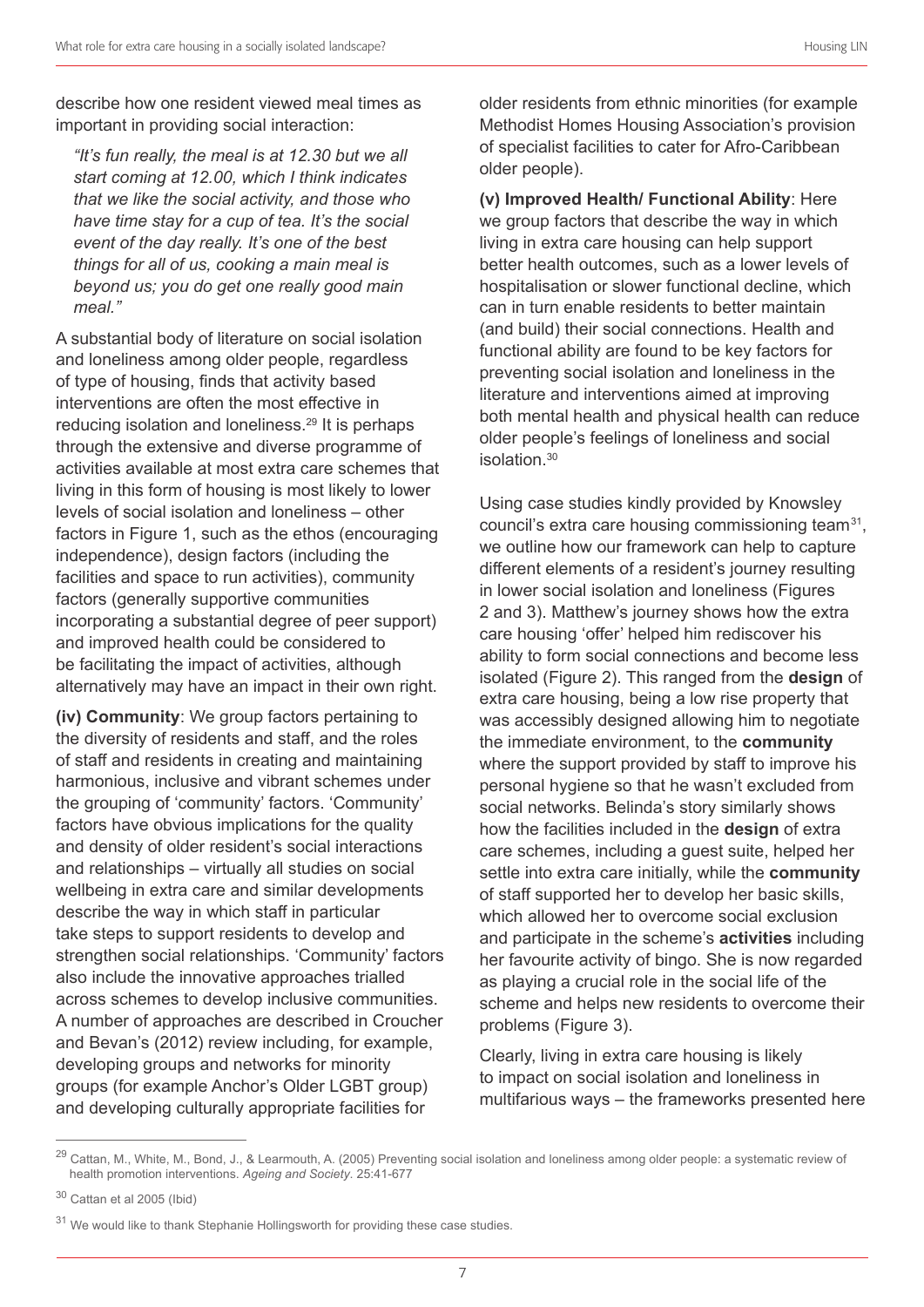describe how one resident viewed meal times as important in providing social interaction:

*"It's fun really, the meal is at 12.30 but we all start coming at 12.00, which I think indicates that we like the social activity, and those who have time stay for a cup of tea. It's the social event of the day really. It's one of the best things for all of us, cooking a main meal is beyond us; you do get one really good main meal."*

A substantial body of literature on social isolation and loneliness among older people, regardless of type of housing, finds that activity based interventions are often the most effective in reducing isolation and loneliness. 29 It is perhaps through the extensive and diverse programme of activities available at most extra care schemes that living in this form of housing is most likely to lower levels of social isolation and loneliness – other factors in Figure 1, such as the ethos (encouraging independence), design factors (including the facilities and space to run activities), community factors (generally supportive communities incorporating a substantial degree of peer support) and improved health could be considered to be facilitating the impact of activities, although alternatively may have an impact in their own right.

**(iv) Community**: We group factors pertaining to the diversity of residents and staff, and the roles of staff and residents in creating and maintaining harmonious, inclusive and vibrant schemes under the grouping of 'community' factors. 'Community' factors have obvious implications for the quality and density of older resident's social interactions and relationships – virtually all studies on social wellbeing in extra care and similar developments describe the way in which staff in particular take steps to support residents to develop and strengthen social relationships. 'Community' factors also include the innovative approaches trialled across schemes to develop inclusive communities. A number of approaches are described in Croucher and Bevan's (2012) review including, for example, developing groups and networks for minority groups (for example Anchor's Older LGBT group) and developing culturally appropriate facilities for

older residents from ethnic minorities (for example Methodist Homes Housing Association's provision of specialist facilities to cater for Afro-Caribbean older people).

**(v) Improved Health/ Functional Ability**: Here we group factors that describe the way in which living in extra care housing can help support better health outcomes, such as a lower levels of hospitalisation or slower functional decline, which can in turn enable residents to better maintain (and build) their social connections. Health and functional ability are found to be key factors for preventing social isolation and loneliness in the literature and interventions aimed at improving both mental health and physical health can reduce older people's feelings of loneliness and social isolation. 30

Using case studies kindly provided by Knowsley council's extra care housing commissioning team31, we outline how our framework can help to capture different elements of a resident's journey resulting in lower social isolation and loneliness (Figures 2 and 3). Matthew's journey shows how the extra care housing 'offer' helped him rediscover his ability to form social connections and become less isolated (Figure 2). This ranged from the **design** of extra care housing, being a low rise property that was accessibly designed allowing him to negotiate the immediate environment, to the **community** where the support provided by staff to improve his personal hygiene so that he wasn't excluded from social networks. Belinda's story similarly shows how the facilities included in the **design** of extra care schemes, including a guest suite, helped her settle into extra care initially, while the **community** of staff supported her to develop her basic skills, which allowed her to overcome social exclusion and participate in the scheme's **activities** including her favourite activity of bingo. She is now regarded as playing a crucial role in the social life of the scheme and helps new residents to overcome their problems (Figure 3).

Clearly, living in extra care housing is likely to impact on social isolation and loneliness in multifarious ways – the frameworks presented here

<sup>&</sup>lt;sup>29</sup> Cattan, M., White, M., Bond, J., & Learmouth, A. (2005) Preventing social isolation and loneliness among older people: a systematic review of health promotion interventions. *Ageing and Society*. 25:41-677

<sup>30</sup> Cattan et al 2005 (Ibid)

<sup>&</sup>lt;sup>31</sup> We would like to thank Stephanie Hollingsworth for providing these case studies.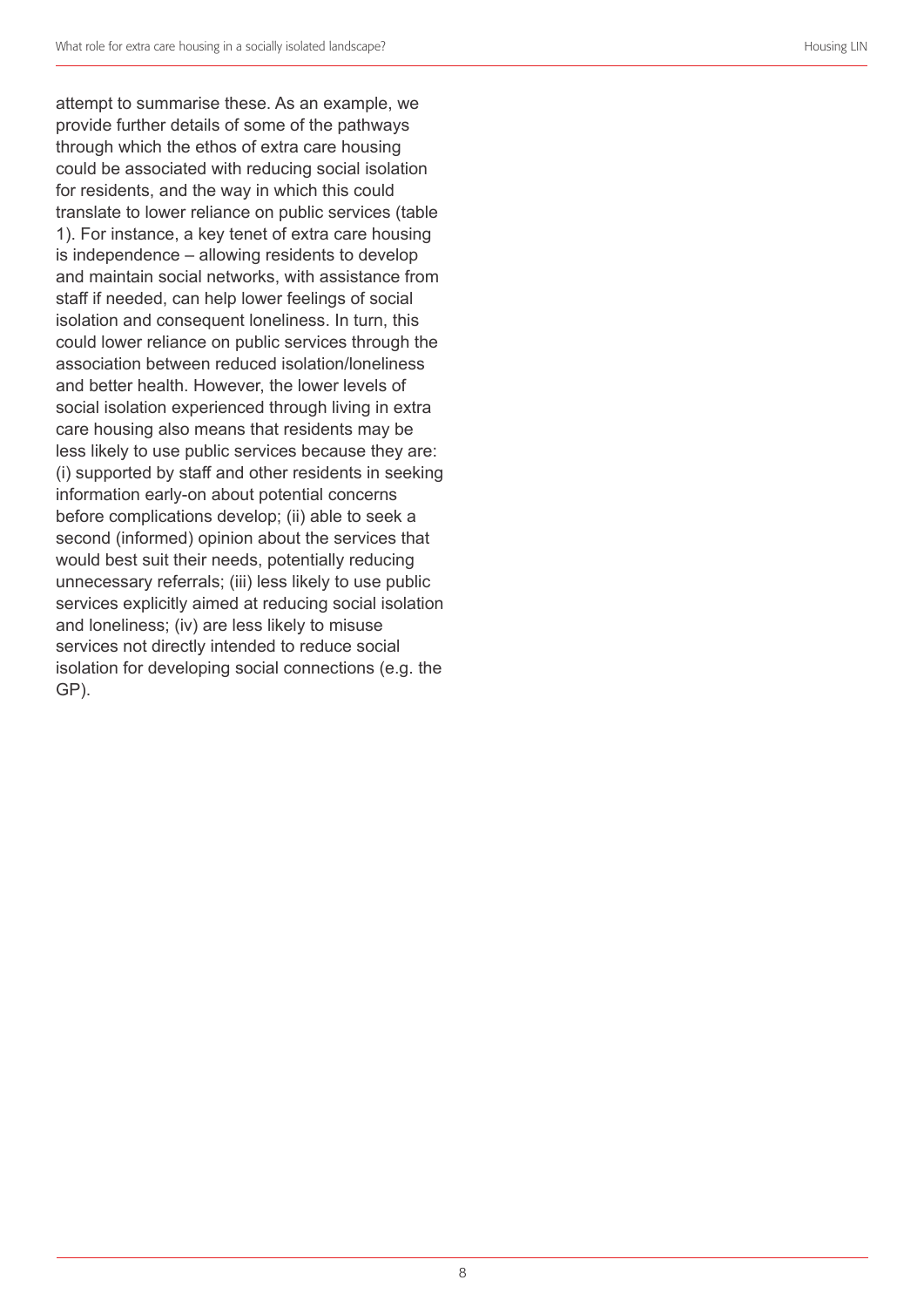attempt to summarise these. As an example, we provide further details of some of the pathways through which the ethos of extra care housing could be associated with reducing social isolation for residents, and the way in which this could translate to lower reliance on public services (table 1). For instance, a key tenet of extra care housing is independence – allowing residents to develop and maintain social networks, with assistance from staff if needed, can help lower feelings of social isolation and consequent loneliness. In turn, this could lower reliance on public services through the association between reduced isolation/loneliness and better health. However, the lower levels of social isolation experienced through living in extra care housing also means that residents may be less likely to use public services because they are: (i) supported by staff and other residents in seeking information early-on about potential concerns before complications develop; (ii) able to seek a second (informed) opinion about the services that would best suit their needs, potentially reducing unnecessary referrals; (iii) less likely to use public services explicitly aimed at reducing social isolation and loneliness; (iv) are less likely to misuse services not directly intended to reduce social isolation for developing social connections (e.g. the GP).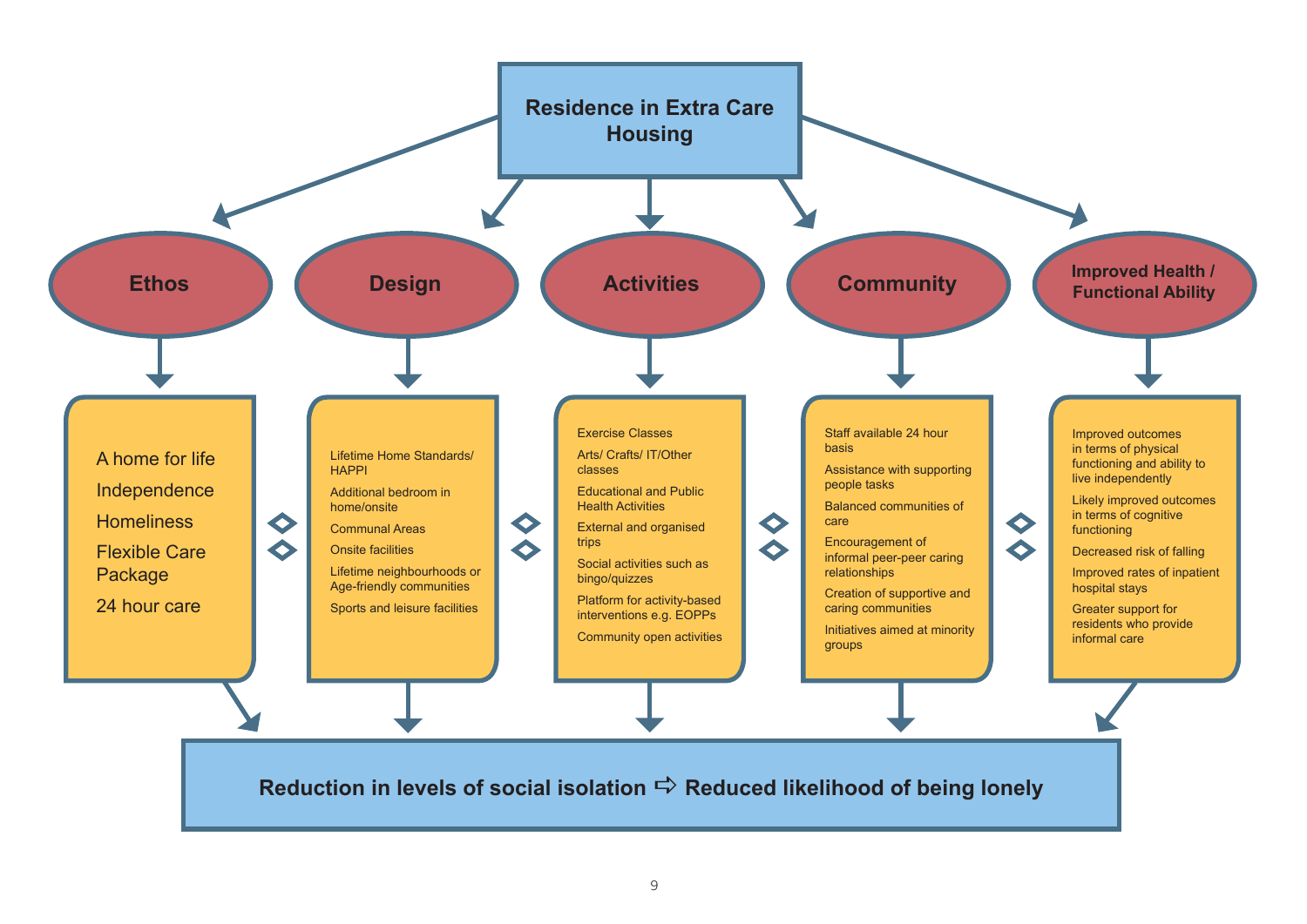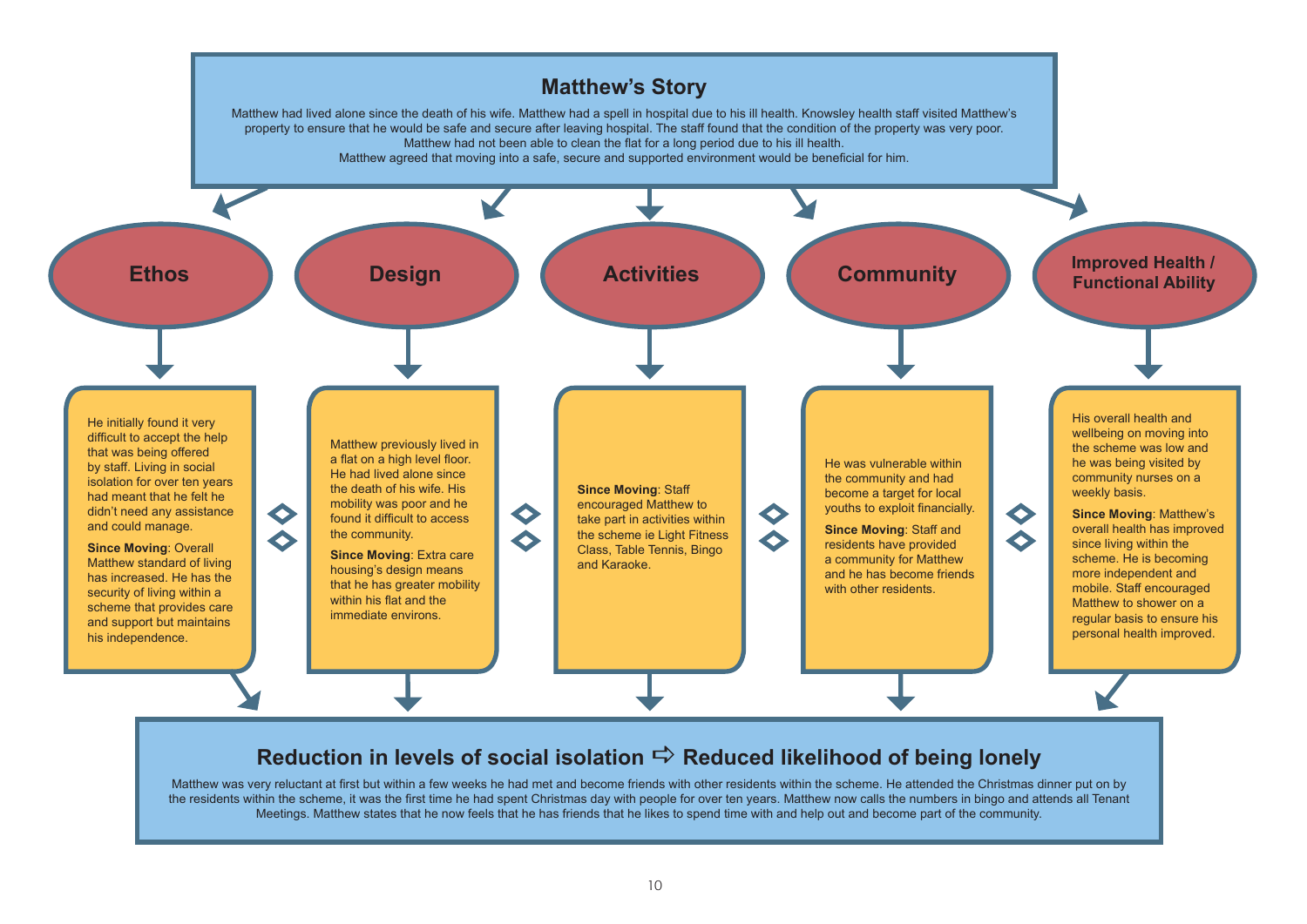

Matthew was very reluctant at first but within a few weeks he had met and become friends with other residents within the scheme. He attended the Christmas dinner put on by the residents within the scheme, it was the first time he had spent Christmas day with people for over ten years. Matthew now calls the numbers in bingo and attends all Tenant Meetings. Matthew states that he now feels that he has friends that he likes to spend time with and help out and become part of the community.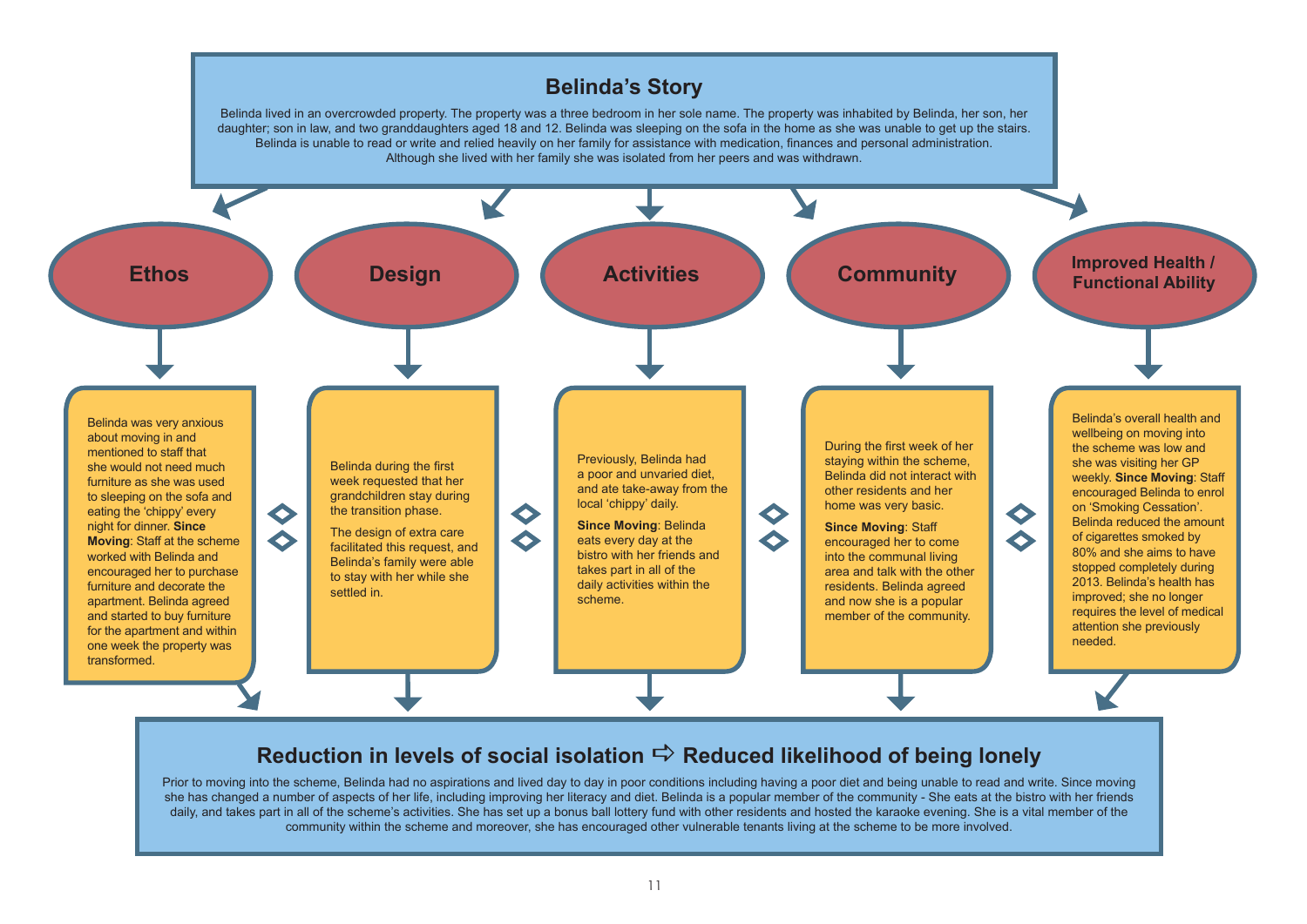

### **Reduction in levels of social isolation**  $\vec{\rightarrow}$  **Reduced likelihood of being lonely**

Prior to moving into the scheme. Belinda had no aspirations and lived day to day in poor conditions including having a poor diet and being unable to read and write. Since moving she has changed a number of aspects of her life, including improving her literacy and diet. Belinda is a popular member of the community - She eats at the bistro with her friends daily, and takes part in all of the scheme's activities. She has set up a bonus ball lottery fund with other residents and hosted the karaoke evening. She is a vital member of the community within the scheme and moreover, she has encouraged other vulnerable tenants living at the scheme to be more involved.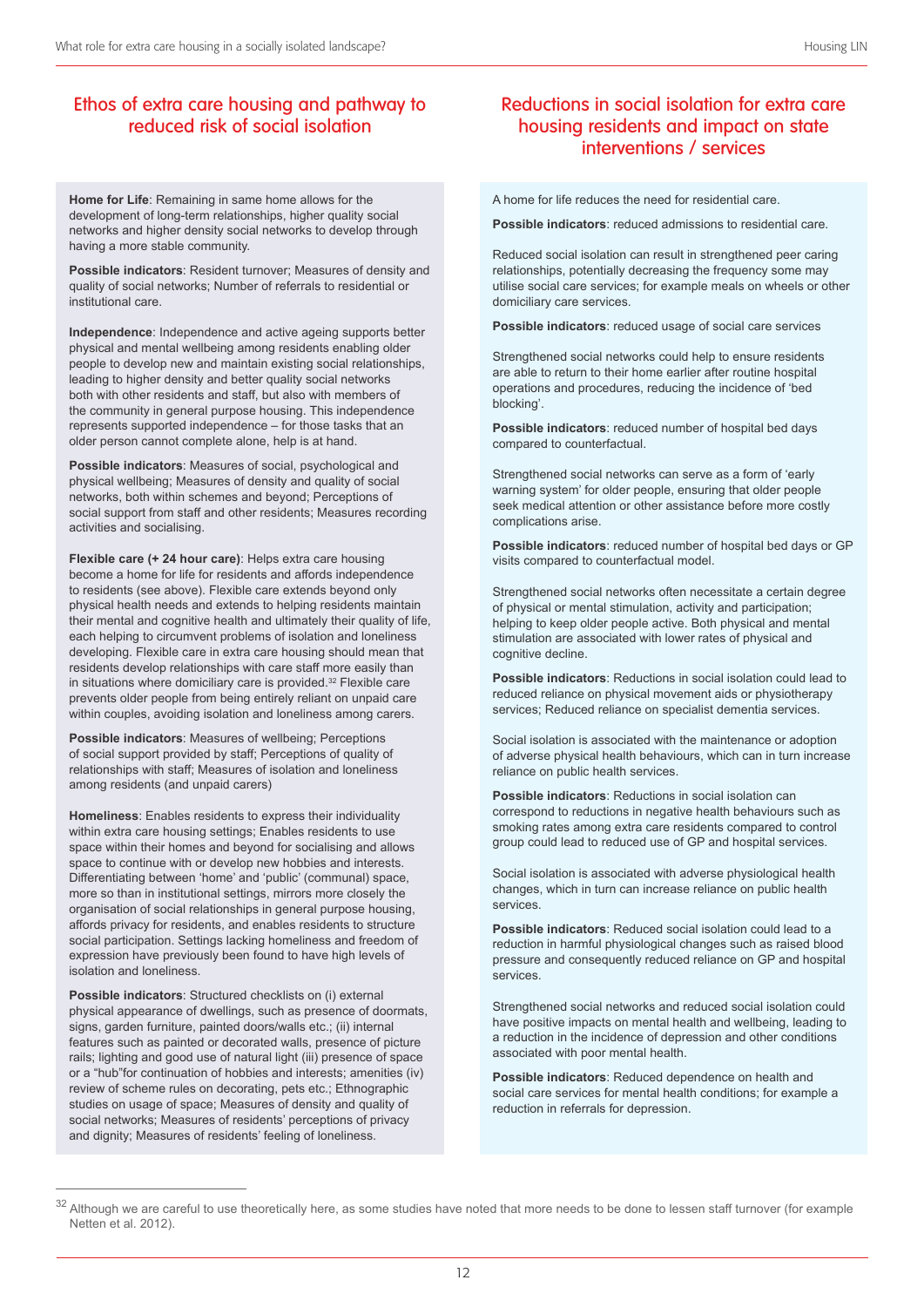#### Ethos of extra care housing and pathway to reduced risk of social isolation

**Home for Life**: Remaining in same home allows for the development of long-term relationships, higher quality social networks and higher density social networks to develop through having a more stable community.

**Possible indicators**: Resident turnover; Measures of density and quality of social networks; Number of referrals to residential or institutional care.

**Independence**: Independence and active ageing supports better physical and mental wellbeing among residents enabling older people to develop new and maintain existing social relationships, leading to higher density and better quality social networks both with other residents and staff, but also with members of the community in general purpose housing. This independence represents supported independence – for those tasks that an older person cannot complete alone, help is at hand.

**Possible indicators**: Measures of social, psychological and physical wellbeing; Measures of density and quality of social networks, both within schemes and beyond; Perceptions of social support from staff and other residents; Measures recording activities and socialising.

**Flexible care (+ 24 hour care)**: Helps extra care housing become a home for life for residents and affords independence to residents (see above). Flexible care extends beyond only physical health needs and extends to helping residents maintain their mental and cognitive health and ultimately their quality of life, each helping to circumvent problems of isolation and loneliness developing. Flexible care in extra care housing should mean that residents develop relationships with care staff more easily than in situations where domiciliary care is provided. 32 Flexible care prevents older people from being entirely reliant on unpaid care within couples, avoiding isolation and loneliness among carers.

**Possible indicators**: Measures of wellbeing; Perceptions of social support provided by staff; Perceptions of quality of relationships with staff; Measures of isolation and loneliness among residents (and unpaid carers)

**Homeliness**: Enables residents to express their individuality within extra care housing settings; Enables residents to use space within their homes and beyond for socialising and allows space to continue with or develop new hobbies and interests. Differentiating between 'home' and 'public' (communal) space, more so than in institutional settings, mirrors more closely the organisation of social relationships in general purpose housing, affords privacy for residents, and enables residents to structure social participation. Settings lacking homeliness and freedom of expression have previously been found to have high levels of isolation and loneliness.

**Possible indicators**: Structured checklists on (i) external physical appearance of dwellings, such as presence of doormats, signs, garden furniture, painted doors/walls etc.; (ii) internal features such as painted or decorated walls, presence of picture rails; lighting and good use of natural light (iii) presence of space or a "hub"for continuation of hobbies and interests; amenities (iv) review of scheme rules on decorating, pets etc.; Ethnographic studies on usage of space; Measures of density and quality of social networks; Measures of residents' perceptions of privacy and dignity; Measures of residents' feeling of loneliness.

#### Reductions in social isolation for extra care housing residents and impact on state interventions / services

A home for life reduces the need for residential care.

**Possible indicators**: reduced admissions to residential care.

Reduced social isolation can result in strengthened peer caring relationships, potentially decreasing the frequency some may utilise social care services; for example meals on wheels or other domiciliary care services.

**Possible indicators**: reduced usage of social care services

Strengthened social networks could help to ensure residents are able to return to their home earlier after routine hospital operations and procedures, reducing the incidence of 'bed blocking'.

**Possible indicators**: reduced number of hospital bed days compared to counterfactual.

Strengthened social networks can serve as a form of 'early warning system' for older people, ensuring that older people seek medical attention or other assistance before more costly complications arise.

**Possible indicators**: reduced number of hospital bed days or GP visits compared to counterfactual model.

Strengthened social networks often necessitate a certain degree of physical or mental stimulation, activity and participation; helping to keep older people active. Both physical and mental stimulation are associated with lower rates of physical and cognitive decline.

**Possible indicators**: Reductions in social isolation could lead to reduced reliance on physical movement aids or physiotherapy services; Reduced reliance on specialist dementia services.

Social isolation is associated with the maintenance or adoption of adverse physical health behaviours, which can in turn increase reliance on public health services.

**Possible indicators**: Reductions in social isolation can correspond to reductions in negative health behaviours such as smoking rates among extra care residents compared to control group could lead to reduced use of GP and hospital services.

Social isolation is associated with adverse physiological health changes, which in turn can increase reliance on public health services.

**Possible indicators**: Reduced social isolation could lead to a reduction in harmful physiological changes such as raised blood pressure and consequently reduced reliance on GP and hospital services.

Strengthened social networks and reduced social isolation could have positive impacts on mental health and wellbeing, leading to a reduction in the incidence of depression and other conditions associated with poor mental health.

**Possible indicators**: Reduced dependence on health and social care services for mental health conditions; for example a reduction in referrals for depression.

<sup>&</sup>lt;sup>32</sup> Although we are careful to use theoretically here, as some studies have noted that more needs to be done to lessen staff turnover (for example Netten et al. 2012).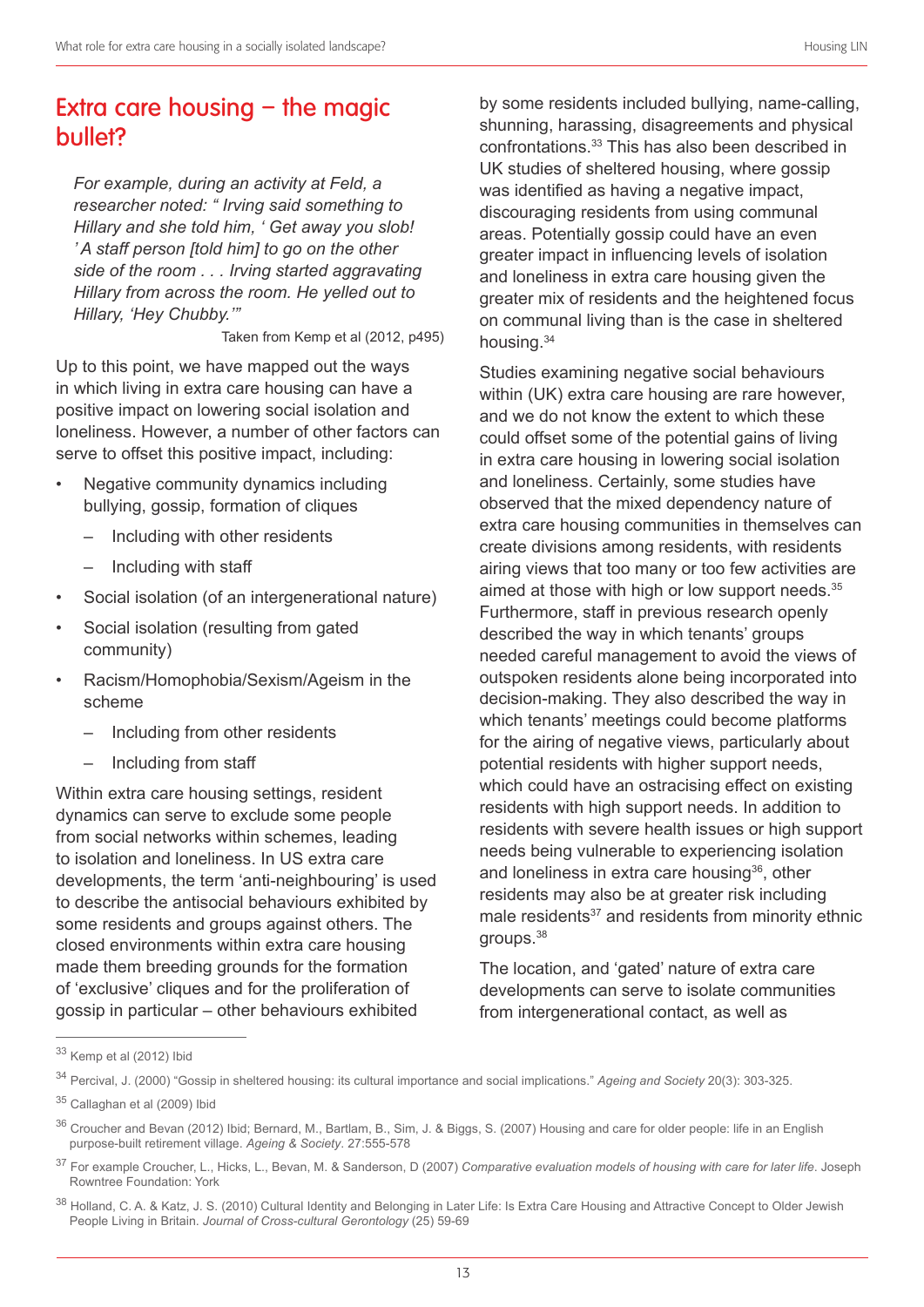## Extra care housing – the magic bullet?

*For example, during an activity at Feld, a researcher noted: " Irving said something to Hillary and she told him, ' Get away you slob! ' A staff person [told him] to go on the other side of the room . . . Irving started aggravating Hillary from across the room. He yelled out to Hillary, 'Hey Chubby.'"*

Taken from Kemp et al (2012, p495)

Up to this point, we have mapped out the ways in which living in extra care housing can have a positive impact on lowering social isolation and loneliness. However, a number of other factors can serve to offset this positive impact, including:

- Negative community dynamics including bullying, gossip, formation of cliques
	- Including with other residents
	- Including with staff
- Social isolation (of an intergenerational nature)
- Social isolation (resulting from gated community)
- Racism/Homophobia/Sexism/Ageism in the scheme
	- Including from other residents
	- Including from staff

Within extra care housing settings, resident dynamics can serve to exclude some people from social networks within schemes, leading to isolation and loneliness. In US extra care developments, the term 'anti-neighbouring' is used to describe the antisocial behaviours exhibited by some residents and groups against others. The closed environments within extra care housing made them breeding grounds for the formation of 'exclusive' cliques and for the proliferation of gossip in particular – other behaviours exhibited

by some residents included bullying, name-calling, shunning, harassing, disagreements and physical confrontations. 33 This has also been described in UK studies of sheltered housing, where gossip was identified as having a negative impact, discouraging residents from using communal areas. Potentially gossip could have an even greater impact in influencing levels of isolation and loneliness in extra care housing given the greater mix of residents and the heightened focus on communal living than is the case in sheltered housing.<sup>34</sup>

Studies examining negative social behaviours within (UK) extra care housing are rare however, and we do not know the extent to which these could offset some of the potential gains of living in extra care housing in lowering social isolation and loneliness. Certainly, some studies have observed that the mixed dependency nature of extra care housing communities in themselves can create divisions among residents, with residents airing views that too many or too few activities are aimed at those with high or low support needs. 35 Furthermore, staff in previous research openly described the way in which tenants' groups needed careful management to avoid the views of outspoken residents alone being incorporated into decision-making. They also described the way in which tenants' meetings could become platforms for the airing of negative views, particularly about potential residents with higher support needs, which could have an ostracising effect on existing residents with high support needs. In addition to residents with severe health issues or high support needs being vulnerable to experiencing isolation and loneliness in extra care housing<sup>36</sup>, other residents may also be at greater risk including male residents<sup>37</sup> and residents from minority ethnic groups. 38

The location, and 'gated' nature of extra care developments can serve to isolate communities from intergenerational contact, as well as

<sup>33</sup> Kemp et al (2012) Ibid

<sup>34</sup> Percival, J. (2000) "Gossip in sheltered housing: its cultural importance and social implications." *Ageing and Society* 20(3): 303-325.

<sup>35</sup> Callaghan et al (2009) Ibid

<sup>&</sup>lt;sup>36</sup> Croucher and Bevan (2012) Ibid; Bernard, M., Bartlam, B., Sim, J. & Biggs, S. (2007) Housing and care for older people: life in an English purpose-built retirement village. *Ageing & Society*. 27:555-578

<sup>37</sup> For example Croucher, L., Hicks, L., Bevan, M. & Sanderson, D (2007) *Comparative evaluation models of housing with care for later life*. Joseph Rowntree Foundation: York

<sup>38</sup> Holland, C. A. & Katz, J. S. (2010) Cultural Identity and Belonging in Later Life: Is Extra Care Housing and Attractive Concept to Older Jewish People Living in Britain. *Journal of Cross-cultural Gerontology* (25) 59-69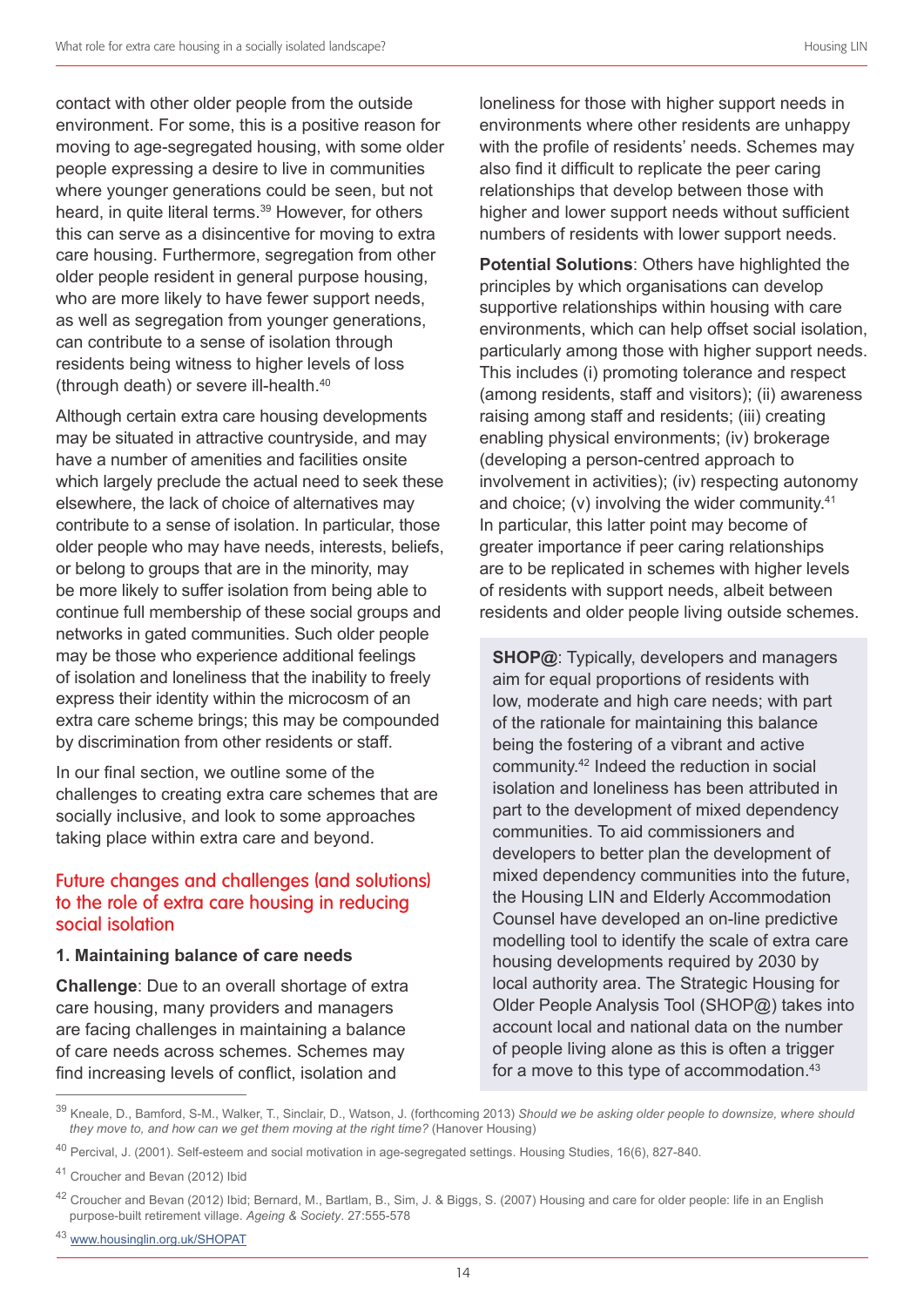contact with other older people from the outside environment. For some, this is a positive reason for moving to age-segregated housing, with some older people expressing a desire to live in communities where younger generations could be seen, but not heard, in quite literal terms. 39 However, for others this can serve as a disincentive for moving to extra care housing. Furthermore, segregation from other older people resident in general purpose housing, who are more likely to have fewer support needs, as well as segregation from younger generations, can contribute to a sense of isolation through residents being witness to higher levels of loss (through death) or severe ill-health. 40

Although certain extra care housing developments may be situated in attractive countryside, and may have a number of amenities and facilities onsite which largely preclude the actual need to seek these elsewhere, the lack of choice of alternatives may contribute to a sense of isolation. In particular, those older people who may have needs, interests, beliefs, or belong to groups that are in the minority, may be more likely to suffer isolation from being able to continue full membership of these social groups and networks in gated communities. Such older people may be those who experience additional feelings of isolation and loneliness that the inability to freely express their identity within the microcosm of an extra care scheme brings; this may be compounded by discrimination from other residents or staff.

In our final section, we outline some of the challenges to creating extra care schemes that are socially inclusive, and look to some approaches taking place within extra care and beyond.

#### Future changes and challenges (and solutions) to the role of extra care housing in reducing social isolation

#### **1. Maintaining balance of care needs**

**Challenge**: Due to an overall shortage of extra care housing, many providers and managers are facing challenges in maintaining a balance of care needs across schemes. Schemes may find increasing levels of conflict, isolation and

loneliness for those with higher support needs in environments where other residents are unhappy with the profile of residents' needs. Schemes may also find it difficult to replicate the peer caring relationships that develop between those with higher and lower support needs without sufficient numbers of residents with lower support needs.

**Potential Solutions**: Others have highlighted the principles by which organisations can develop supportive relationships within housing with care environments, which can help offset social isolation, particularly among those with higher support needs. This includes (i) promoting tolerance and respect (among residents, staff and visitors); (ii) awareness raising among staff and residents; (iii) creating enabling physical environments; (iv) brokerage (developing a person-centred approach to involvement in activities); (iv) respecting autonomy and choice; (v) involving the wider community.<sup>41</sup> In particular, this latter point may become of greater importance if peer caring relationships are to be replicated in schemes with higher levels of residents with support needs, albeit between residents and older people living outside schemes.

**SHOP@**: Typically, developers and managers aim for equal proportions of residents with low, moderate and high care needs; with part of the rationale for maintaining this balance being the fostering of a vibrant and active community. 42 Indeed the reduction in social isolation and loneliness has been attributed in part to the development of mixed dependency communities. To aid commissioners and developers to better plan the development of mixed dependency communities into the future, the Housing LIN and Elderly Accommodation Counsel have developed an on-line predictive modelling tool to identify the scale of extra care housing developments required by 2030 by local authority area. The Strategic Housing for Older People Analysis Tool (SHOP@) takes into account local and national data on the number of people living alone as this is often a trigger for a move to this type of accommodation. 43

<sup>43</sup> www.housinglin.org.uk/SHOPAT

<sup>39</sup> Kneale, D., Bamford, S-M., Walker, T., Sinclair, D., Watson, J. (forthcoming 2013) *Should we be asking older people to downsize, where should they move to, and how can we get them moving at the right time?* (Hanover Housing)

<sup>40</sup> Percival, J. (2001). Self-esteem and social motivation in age-segregated settings. Housing Studies, 16(6), 827-840.

<sup>41</sup> Croucher and Bevan (2012) Ibid

<sup>&</sup>lt;sup>42</sup> Croucher and Bevan (2012) Ibid; Bernard, M., Bartlam, B., Sim, J. & Biggs, S. (2007) Housing and care for older people: life in an English purpose-built retirement village. *Ageing & Society*. 27:555-578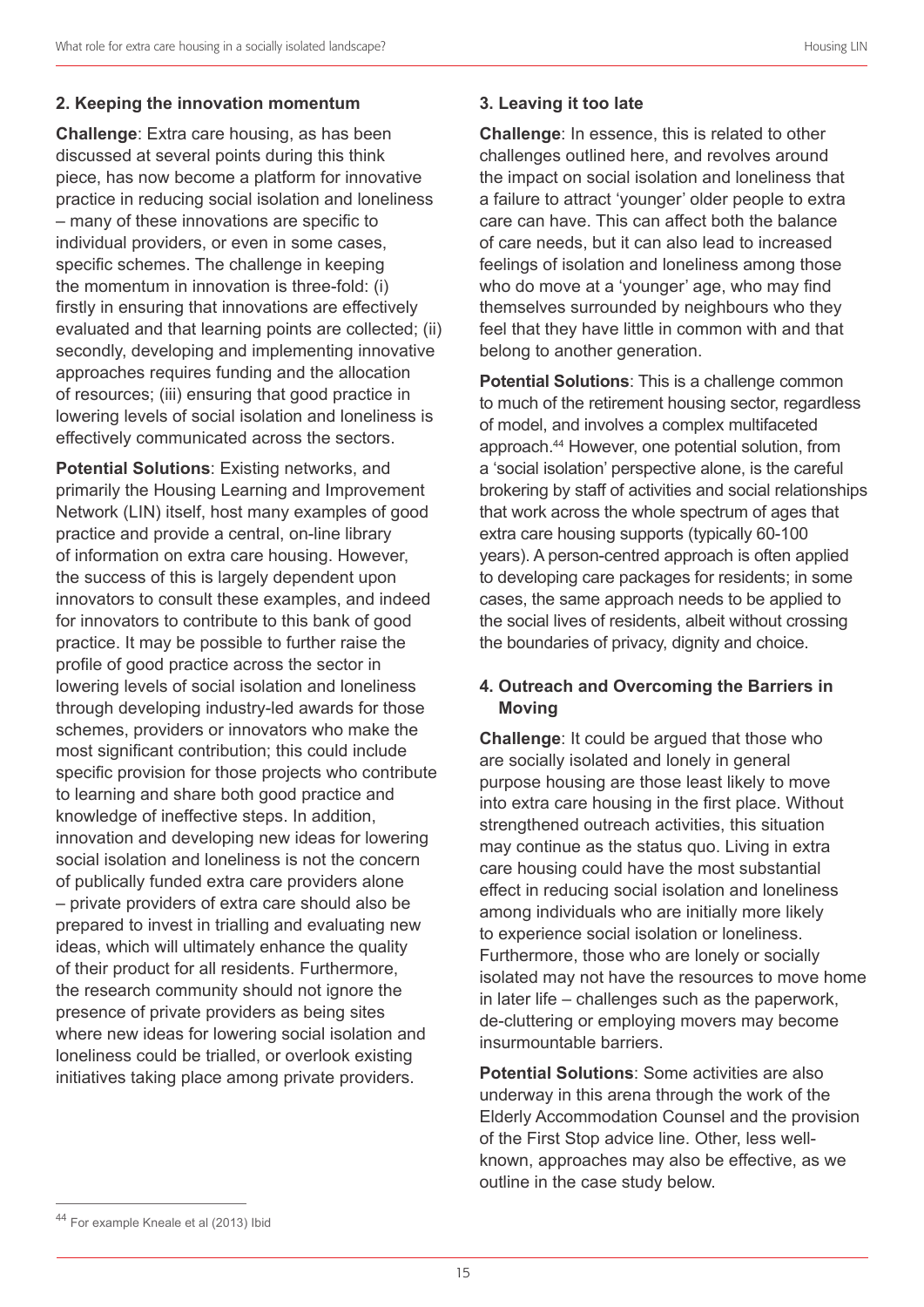**Challenge**: Extra care housing, as has been discussed at several points during this think piece, has now become a platform for innovative practice in reducing social isolation and loneliness – many of these innovations are specific to individual providers, or even in some cases, specific schemes. The challenge in keeping the momentum in innovation is three-fold: (i) firstly in ensuring that innovations are effectively evaluated and that learning points are collected; (ii) secondly, developing and implementing innovative approaches requires funding and the allocation of resources; (iii) ensuring that good practice in lowering levels of social isolation and loneliness is effectively communicated across the sectors.

**Potential Solutions**: Existing networks, and primarily the Housing Learning and Improvement Network (LIN) itself, host many examples of good practice and provide a central, on-line library of information on extra care housing. However, the success of this is largely dependent upon innovators to consult these examples, and indeed for innovators to contribute to this bank of good practice. It may be possible to further raise the profile of good practice across the sector in lowering levels of social isolation and loneliness through developing industry-led awards for those schemes, providers or innovators who make the most significant contribution; this could include specific provision for those projects who contribute to learning and share both good practice and knowledge of ineffective steps. In addition, innovation and developing new ideas for lowering social isolation and loneliness is not the concern of publically funded extra care providers alone – private providers of extra care should also be prepared to invest in trialling and evaluating new ideas, which will ultimately enhance the quality of their product for all residents. Furthermore, the research community should not ignore the presence of private providers as being sites where new ideas for lowering social isolation and loneliness could be trialled, or overlook existing initiatives taking place among private providers.

**Challenge**: In essence, this is related to other challenges outlined here, and revolves around the impact on social isolation and loneliness that a failure to attract 'younger' older people to extra care can have. This can affect both the balance of care needs, but it can also lead to increased feelings of isolation and loneliness among those who do move at a 'younger' age, who may find themselves surrounded by neighbours who they feel that they have little in common with and that belong to another generation.

**Potential Solutions**: This is a challenge common to much of the retirement housing sector, regardless of model, and involves a complex multifaceted approach. 44 However, one potential solution, from a 'social isolation' perspective alone, is the careful brokering by staff of activities and social relationships that work across the whole spectrum of ages that extra care housing supports (typically 60-100 years). A person-centred approach is often applied to developing care packages for residents; in some cases, the same approach needs to be applied to the social lives of residents, albeit without crossing the boundaries of privacy, dignity and choice.

#### **4. Outreach and Overcoming the Barriers in Moving**

**Challenge**: It could be argued that those who are socially isolated and lonely in general purpose housing are those least likely to move into extra care housing in the first place. Without strengthened outreach activities, this situation may continue as the status quo. Living in extra care housing could have the most substantial effect in reducing social isolation and loneliness among individuals who are initially more likely to experience social isolation or loneliness. Furthermore, those who are lonely or socially isolated may not have the resources to move home in later life – challenges such as the paperwork, de-cluttering or employing movers may become insurmountable barriers.

**Potential Solutions:** Some activities are also underway in this arena through the work of the Elderly Accommodation Counsel and the provision of the First Stop advice line. Other, less wellknown, approaches may also be effective, as we outline in the case study below.

<sup>44</sup> For example Kneale et al (2013) Ibid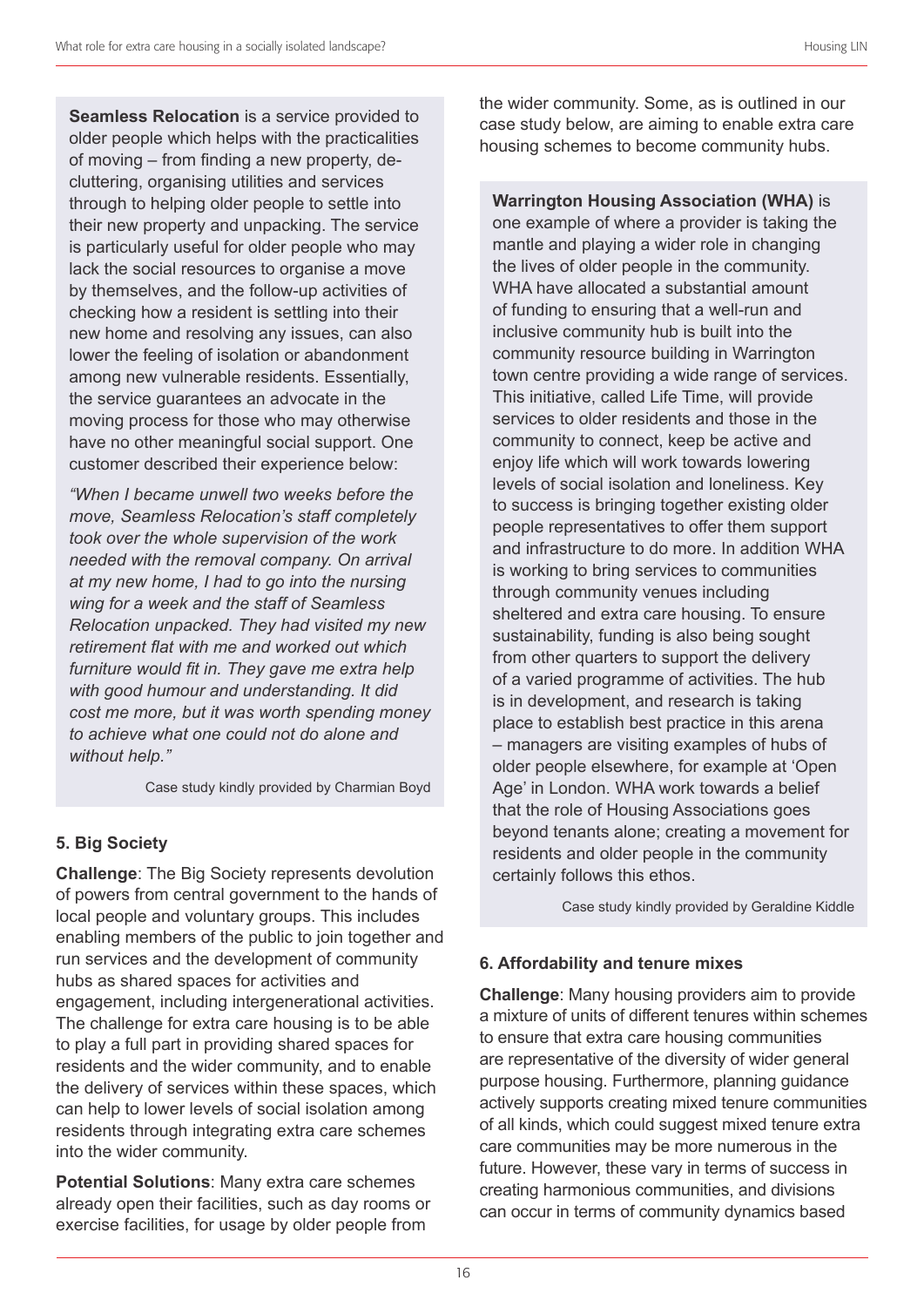**Seamless Relocation** is a service provided to older people which helps with the practicalities of moving – from finding a new property, decluttering, organising utilities and services through to helping older people to settle into their new property and unpacking. The service is particularly useful for older people who may lack the social resources to organise a move by themselves, and the follow-up activities of checking how a resident is settling into their new home and resolving any issues, can also lower the feeling of isolation or abandonment among new vulnerable residents. Essentially, the service guarantees an advocate in the moving process for those who may otherwise have no other meaningful social support. One customer described their experience below:

*"When I became unwell two weeks before the move, Seamless Relocation's staff completely took over the whole supervision of the work needed with the removal company. On arrival at my new home, I had to go into the nursing wing for a week and the staff of Seamless Relocation unpacked. They had visited my new retirement flat with me and worked out which furniture would fit in. They gave me extra help with good humour and understanding. It did cost me more, but it was worth spending money to achieve what one could not do alone and without help."*

Case study kindly provided by Charmian Boyd

#### **5. Big Society**

**Challenge**: The Big Society represents devolution of powers from central government to the hands of local people and voluntary groups. This includes enabling members of the public to join together and run services and the development of community hubs as shared spaces for activities and engagement, including intergenerational activities. The challenge for extra care housing is to be able to play a full part in providing shared spaces for residents and the wider community, and to enable the delivery of services within these spaces, which can help to lower levels of social isolation among residents through integrating extra care schemes into the wider community.

**Potential Solutions**: Many extra care schemes already open their facilities, such as day rooms or exercise facilities, for usage by older people from

the wider community. Some, as is outlined in our case study below, are aiming to enable extra care housing schemes to become community hubs.

**Warrington Housing Association (WHA)** is one example of where a provider is taking the mantle and playing a wider role in changing the lives of older people in the community. WHA have allocated a substantial amount of funding to ensuring that a well-run and inclusive community hub is built into the community resource building in Warrington town centre providing a wide range of services. This initiative, called Life Time, will provide services to older residents and those in the community to connect, keep be active and enjoy life which will work towards lowering levels of social isolation and loneliness. Key to success is bringing together existing older people representatives to offer them support and infrastructure to do more. In addition WHA is working to bring services to communities through community venues including sheltered and extra care housing. To ensure sustainability, funding is also being sought from other quarters to support the delivery of a varied programme of activities. The hub is in development, and research is taking place to establish best practice in this arena – managers are visiting examples of hubs of older people elsewhere, for example at 'Open Age' in London. WHA work towards a belief that the role of Housing Associations goes beyond tenants alone; creating a movement for residents and older people in the community certainly follows this ethos.

Case study kindly provided by Geraldine Kiddle

#### **6. Affordability and tenure mixes**

**Challenge**: Many housing providers aim to provide a mixture of units of different tenures within schemes to ensure that extra care housing communities are representative of the diversity of wider general purpose housing. Furthermore, planning guidance actively supports creating mixed tenure communities of all kinds, which could suggest mixed tenure extra care communities may be more numerous in the future. However, these vary in terms of success in creating harmonious communities, and divisions can occur in terms of community dynamics based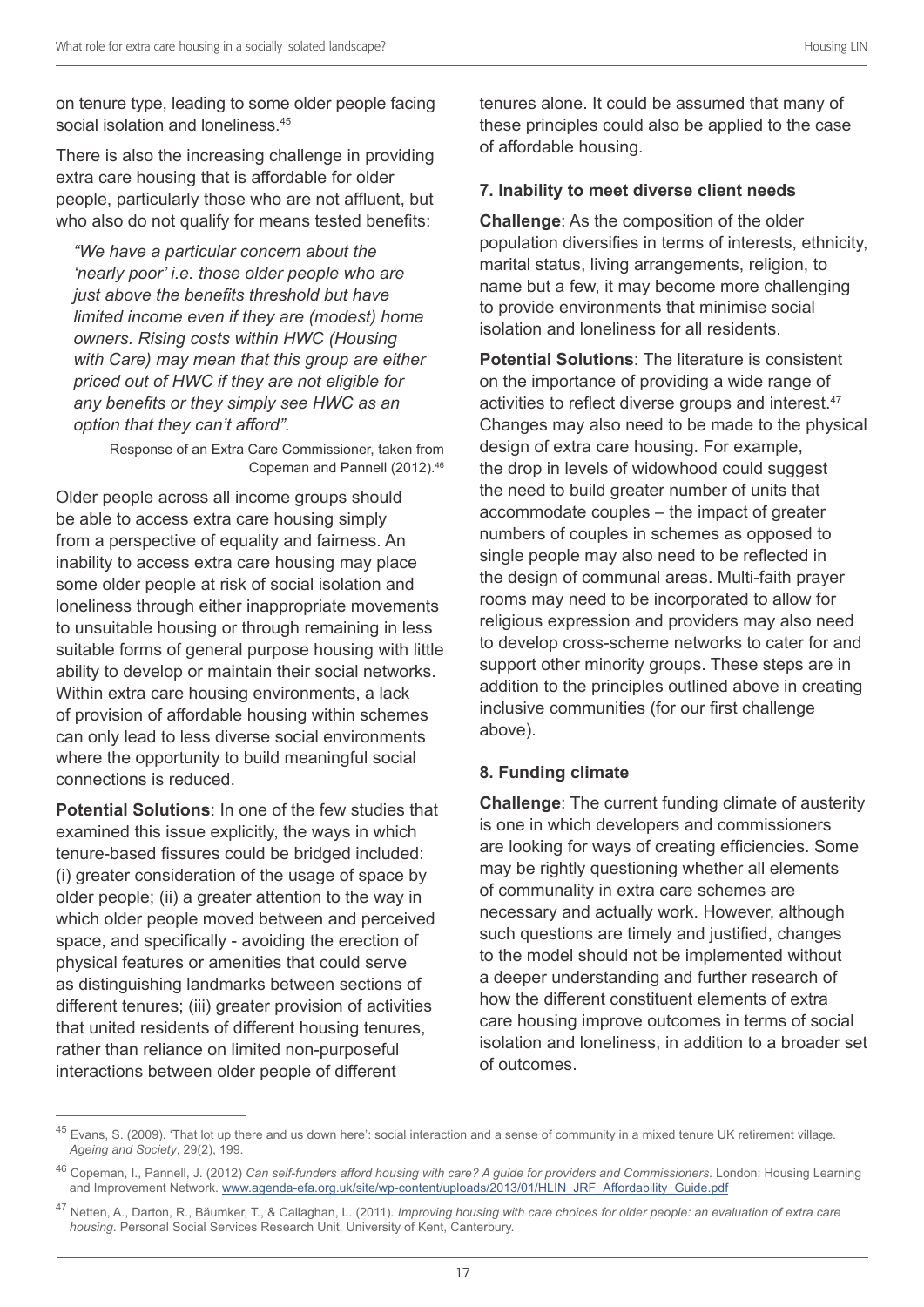on tenure type, leading to some older people facing social isolation and loneliness. 45

There is also the increasing challenge in providing extra care housing that is affordable for older people, particularly those who are not affluent, but who also do not qualify for means tested benefits:

*"We have a particular concern about the 'nearly poor' i.e. those older people who are just above the benefits threshold but have limited income even if they are (modest) home owners. Rising costs within HWC (Housing with Care) may mean that this group are either priced out of HWC if they are not eligible for any benefits or they simply see HWC as an option that they can't afford".*

> Response of an Extra Care Commissioner, taken from Copeman and Pannell (2012). 46

Older people across all income groups should be able to access extra care housing simply from a perspective of equality and fairness. An inability to access extra care housing may place some older people at risk of social isolation and loneliness through either inappropriate movements to unsuitable housing or through remaining in less suitable forms of general purpose housing with little ability to develop or maintain their social networks. Within extra care housing environments, a lack of provision of affordable housing within schemes can only lead to less diverse social environments where the opportunity to build meaningful social connections is reduced.

**Potential Solutions**: In one of the few studies that examined this issue explicitly, the ways in which tenure-based fissures could be bridged included: (i) greater consideration of the usage of space by older people; (ii) a greater attention to the way in which older people moved between and perceived space, and specifically - avoiding the erection of physical features or amenities that could serve as distinguishing landmarks between sections of different tenures; (iii) greater provision of activities that united residents of different housing tenures, rather than reliance on limited non-purposeful interactions between older people of different

tenures alone. It could be assumed that many of these principles could also be applied to the case of affordable housing.

#### **7. Inability to meet diverse client needs**

**Challenge**: As the composition of the older population diversifies in terms of interests, ethnicity, marital status, living arrangements, religion, to name but a few, it may become more challenging to provide environments that minimise social isolation and loneliness for all residents.

**Potential Solutions**: The literature is consistent on the importance of providing a wide range of activities to reflect diverse groups and interest.<sup>47</sup> Changes may also need to be made to the physical design of extra care housing. For example, the drop in levels of widowhood could suggest the need to build greater number of units that accommodate couples – the impact of greater numbers of couples in schemes as opposed to single people may also need to be reflected in the design of communal areas. Multi-faith prayer rooms may need to be incorporated to allow for religious expression and providers may also need to develop cross-scheme networks to cater for and support other minority groups. These steps are in addition to the principles outlined above in creating inclusive communities (for our first challenge above).

#### **8. Funding climate**

**Challenge**: The current funding climate of austerity is one in which developers and commissioners are looking for ways of creating efficiencies. Some may be rightly questioning whether all elements of communality in extra care schemes are necessary and actually work. However, although such questions are timely and justified, changes to the model should not be implemented without a deeper understanding and further research of how the different constituent elements of extra care housing improve outcomes in terms of social isolation and loneliness, in addition to a broader set of outcomes.

<sup>&</sup>lt;sup>45</sup> Evans, S. (2009). 'That lot up there and us down here': social interaction and a sense of community in a mixed tenure UK retirement village. *Ageing and Society*, 29(2), 199.

<sup>46</sup> Copeman, I., Pannell, J. (2012) *Can self-funders afford housing with care? A guide for providers and Commissioners*. London: Housing Learning and Improvement Network. www.agenda-efa.org.uk/site/wp-content/uploads/2013/01/HLIN\_JRF\_Affordability\_Guide.pdf

<sup>47</sup> Netten, A., Darton, R., Bäumker, T., & Callaghan, L. (2011). *Improving housing with care choices for older people: an evaluation of extra care housing*. Personal Social Services Research Unit, University of Kent, Canterbury.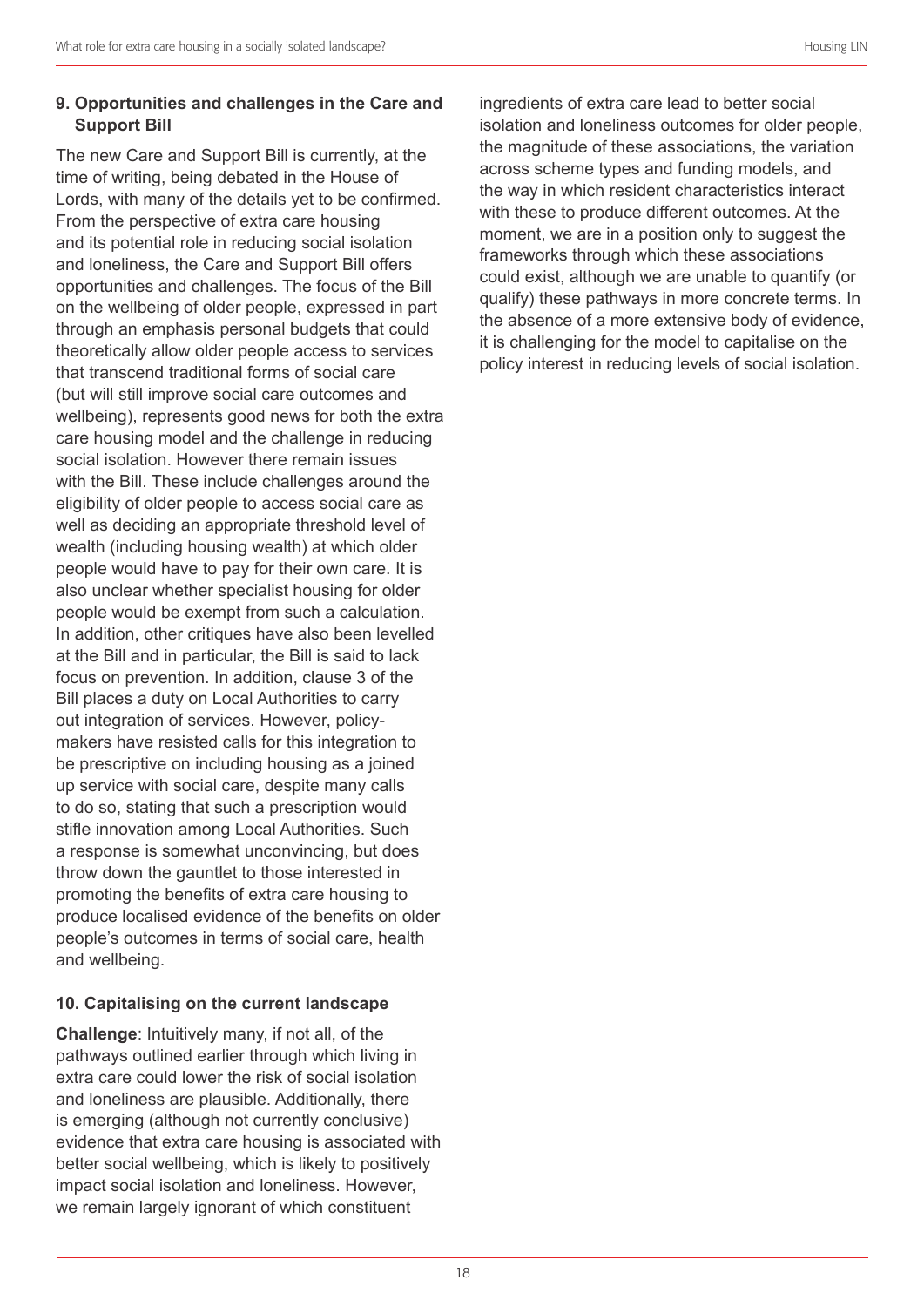#### **9. Opportunities and challenges in the Care and Support Bill**

The new Care and Support Bill is currently, at the time of writing, being debated in the House of Lords, with many of the details yet to be confirmed. From the perspective of extra care housing and its potential role in reducing social isolation and loneliness, the Care and Support Bill offers opportunities and challenges. The focus of the Bill on the wellbeing of older people, expressed in part through an emphasis personal budgets that could theoretically allow older people access to services that transcend traditional forms of social care (but will still improve social care outcomes and wellbeing), represents good news for both the extra care housing model and the challenge in reducing social isolation. However there remain issues with the Bill. These include challenges around the eligibility of older people to access social care as well as deciding an appropriate threshold level of wealth (including housing wealth) at which older people would have to pay for their own care. It is also unclear whether specialist housing for older people would be exempt from such a calculation. In addition, other critiques have also been levelled at the Bill and in particular, the Bill is said to lack focus on prevention. In addition, clause 3 of the Bill places a duty on Local Authorities to carry out integration of services. However, policymakers have resisted calls for this integration to be prescriptive on including housing as a joined up service with social care, despite many calls to do so, stating that such a prescription would stifle innovation among Local Authorities. Such a response is somewhat unconvincing, but does throw down the gauntlet to those interested in promoting the benefits of extra care housing to produce localised evidence of the benefits on older people's outcomes in terms of social care, health and wellbeing.

#### **10. Capitalising on the current landscape**

**Challenge**: Intuitively many, if not all, of the pathways outlined earlier through which living in extra care could lower the risk of social isolation and loneliness are plausible. Additionally, there is emerging (although not currently conclusive) evidence that extra care housing is associated with better social wellbeing, which is likely to positively impact social isolation and loneliness. However, we remain largely ignorant of which constituent

ingredients of extra care lead to better social isolation and loneliness outcomes for older people, the magnitude of these associations, the variation across scheme types and funding models, and the way in which resident characteristics interact with these to produce different outcomes. At the moment, we are in a position only to suggest the frameworks through which these associations could exist, although we are unable to quantify (or qualify) these pathways in more concrete terms. In the absence of a more extensive body of evidence, it is challenging for the model to capitalise on the policy interest in reducing levels of social isolation.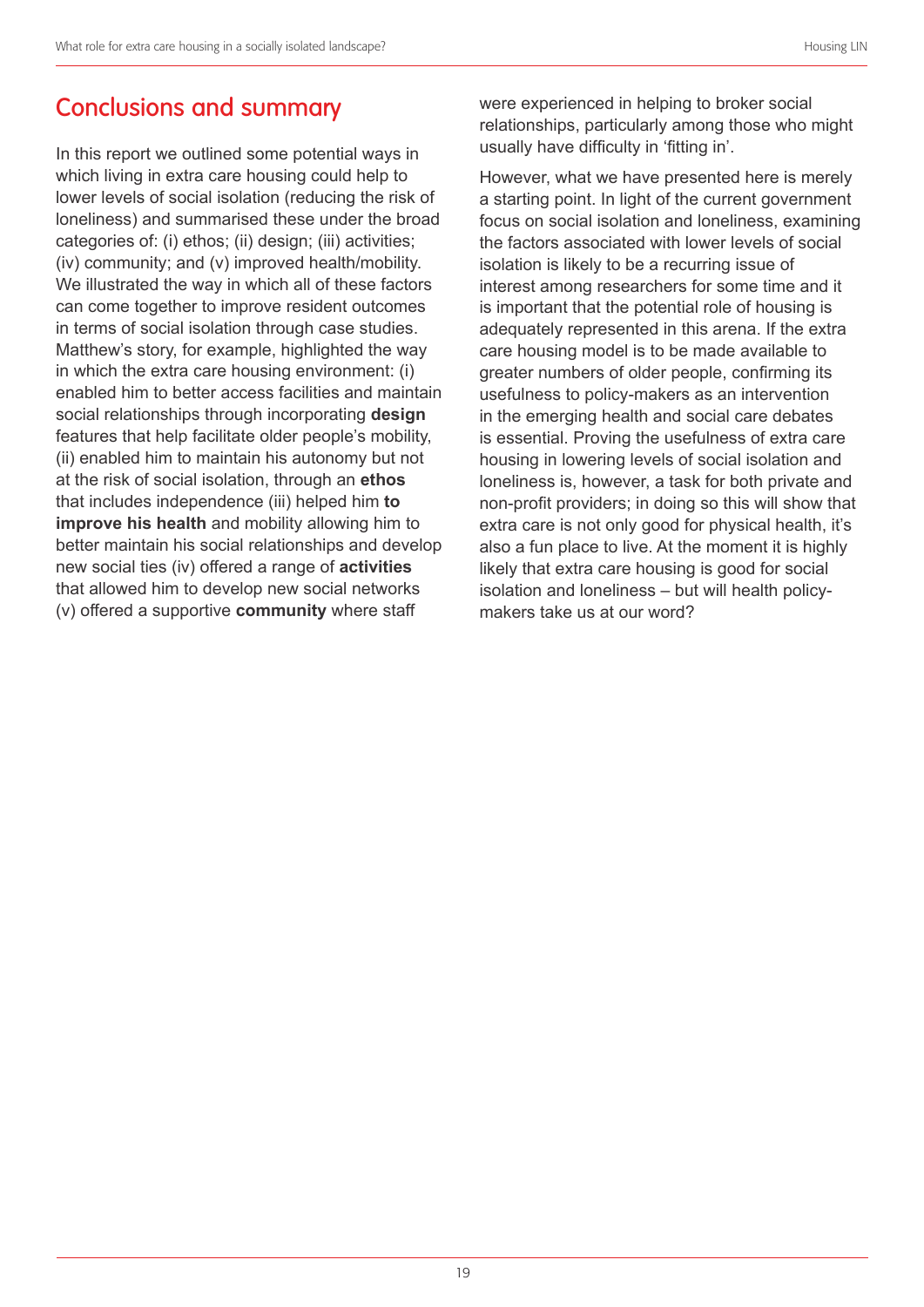# Conclusions and summary

In this report we outlined some potential ways in which living in extra care housing could help to lower levels of social isolation (reducing the risk of loneliness) and summarised these under the broad categories of: (i) ethos; (ii) design; (iii) activities; (iv) community; and (v) improved health/mobility. We illustrated the way in which all of these factors can come together to improve resident outcomes in terms of social isolation through case studies. Matthew's story, for example, highlighted the way in which the extra care housing environment: (i) enabled him to better access facilities and maintain social relationships through incorporating **design** features that help facilitate older people's mobility, (ii) enabled him to maintain his autonomy but not at the risk of social isolation, through an **ethos** that includes independence (iii) helped him **to improve his health** and mobility allowing him to better maintain his social relationships and develop new social ties (iv) offered a range of **activities** that allowed him to develop new social networks (v) offered a supportive **community** where staff

were experienced in helping to broker social relationships, particularly among those who might usually have difficulty in 'fitting in'.

However, what we have presented here is merely a starting point. In light of the current government focus on social isolation and loneliness, examining the factors associated with lower levels of social isolation is likely to be a recurring issue of interest among researchers for some time and it is important that the potential role of housing is adequately represented in this arena. If the extra care housing model is to be made available to greater numbers of older people, confirming its usefulness to policy-makers as an intervention in the emerging health and social care debates is essential. Proving the usefulness of extra care housing in lowering levels of social isolation and loneliness is, however, a task for both private and non-profit providers; in doing so this will show that extra care is not only good for physical health, it's also a fun place to live. At the moment it is highly likely that extra care housing is good for social isolation and loneliness – but will health policymakers take us at our word?